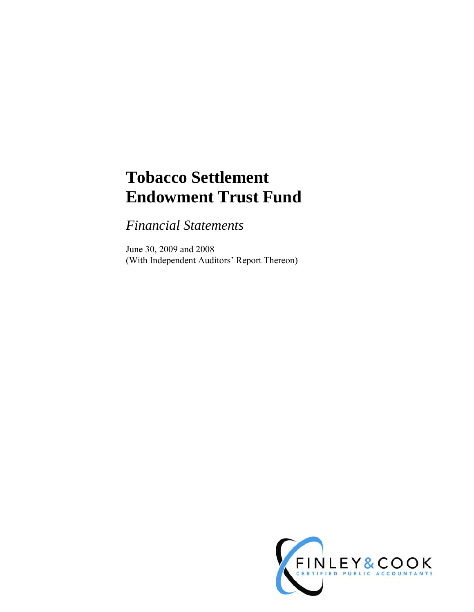# **Tobacco Settlement Endowment Trust Fund**

*Financial Statements* 

June 30, 2009 and 2008 (With Independent Auditors' Report Thereon)

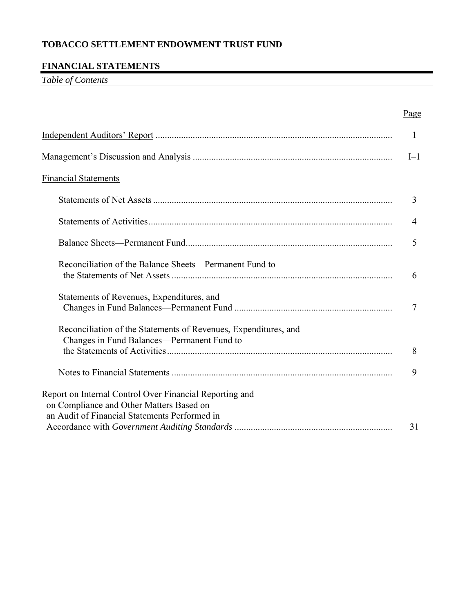# **FINANCIAL STATEMENTS**

*Table of Contents* 

|                                                                                                                                                      | Page         |
|------------------------------------------------------------------------------------------------------------------------------------------------------|--------------|
|                                                                                                                                                      | $\mathbf{I}$ |
|                                                                                                                                                      | $I-1$        |
| <b>Financial Statements</b>                                                                                                                          |              |
|                                                                                                                                                      | 3            |
|                                                                                                                                                      | 4            |
|                                                                                                                                                      | 5            |
| Reconciliation of the Balance Sheets—Permanent Fund to                                                                                               | 6            |
| Statements of Revenues, Expenditures, and                                                                                                            | 7            |
| Reconciliation of the Statements of Revenues, Expenditures, and<br>Changes in Fund Balances-Permanent Fund to                                        | 8            |
|                                                                                                                                                      | 9            |
| Report on Internal Control Over Financial Reporting and<br>on Compliance and Other Matters Based on<br>an Audit of Financial Statements Performed in |              |
|                                                                                                                                                      | 31           |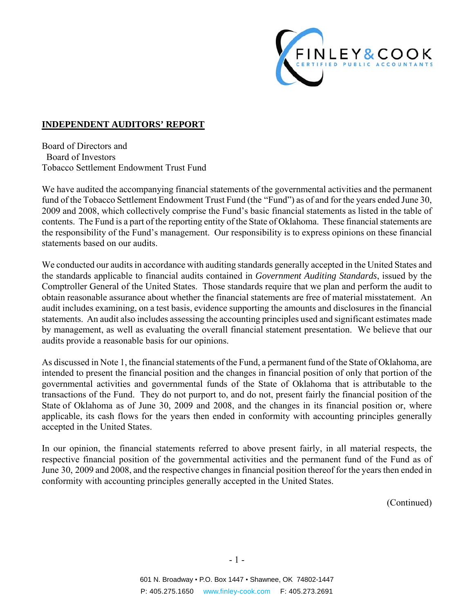

#### **INDEPENDENT AUDITORS' REPORT**

Board of Directors and Board of Investors Tobacco Settlement Endowment Trust Fund

We have audited the accompanying financial statements of the governmental activities and the permanent fund of the Tobacco Settlement Endowment Trust Fund (the "Fund") as of and for the years ended June 30, 2009 and 2008, which collectively comprise the Fund's basic financial statements as listed in the table of contents. The Fund is a part of the reporting entity of the State of Oklahoma. These financial statements are the responsibility of the Fund's management. Our responsibility is to express opinions on these financial statements based on our audits.

We conducted our audits in accordance with auditing standards generally accepted in the United States and the standards applicable to financial audits contained in *Government Auditing Standards*, issued by the Comptroller General of the United States. Those standards require that we plan and perform the audit to obtain reasonable assurance about whether the financial statements are free of material misstatement. An audit includes examining, on a test basis, evidence supporting the amounts and disclosures in the financial statements. An audit also includes assessing the accounting principles used and significant estimates made by management, as well as evaluating the overall financial statement presentation. We believe that our audits provide a reasonable basis for our opinions.

As discussed in Note 1, the financial statements of the Fund, a permanent fund of the State of Oklahoma, are intended to present the financial position and the changes in financial position of only that portion of the governmental activities and governmental funds of the State of Oklahoma that is attributable to the transactions of the Fund. They do not purport to, and do not, present fairly the financial position of the State of Oklahoma as of June 30, 2009 and 2008, and the changes in its financial position or, where applicable, its cash flows for the years then ended in conformity with accounting principles generally accepted in the United States.

In our opinion, the financial statements referred to above present fairly, in all material respects, the respective financial position of the governmental activities and the permanent fund of the Fund as of June 30, 2009 and 2008, and the respective changes in financial position thereof for the years then ended in conformity with accounting principles generally accepted in the United States.

(Continued)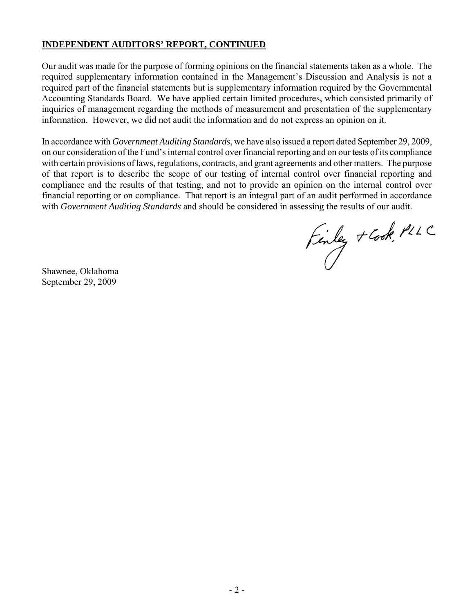### **INDEPENDENT AUDITORS' REPORT, CONTINUED**

Our audit was made for the purpose of forming opinions on the financial statements taken as a whole. The required supplementary information contained in the Management's Discussion and Analysis is not a required part of the financial statements but is supplementary information required by the Governmental Accounting Standards Board. We have applied certain limited procedures, which consisted primarily of inquiries of management regarding the methods of measurement and presentation of the supplementary information. However, we did not audit the information and do not express an opinion on it.

In accordance with *Government Auditing Standards*, we have also issued a report dated September 29, 2009, on our consideration of the Fund's internal control over financial reporting and on our tests of its compliance with certain provisions of laws, regulations, contracts, and grant agreements and other matters. The purpose of that report is to describe the scope of our testing of internal control over financial reporting and compliance and the results of that testing, and not to provide an opinion on the internal control over financial reporting or on compliance. That report is an integral part of an audit performed in accordance with *Government Auditing Standards* and should be considered in assessing the results of our audit.

Finley + Cook, PLLC

Shawnee, Oklahoma September 29, 2009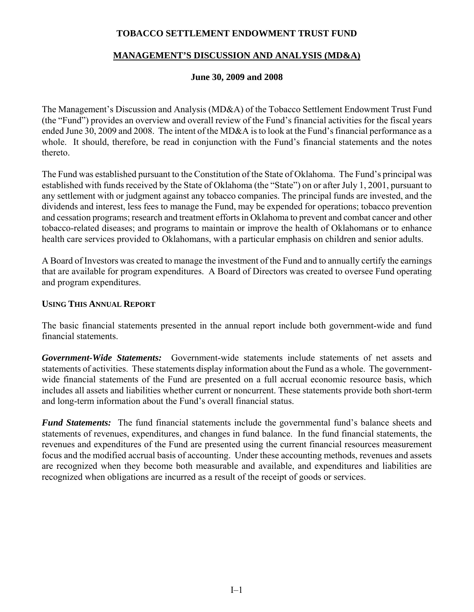# **MANAGEMENT'S DISCUSSION AND ANALYSIS (MD&A)**

# **June 30, 2009 and 2008**

The Management's Discussion and Analysis (MD&A) of the Tobacco Settlement Endowment Trust Fund (the "Fund") provides an overview and overall review of the Fund's financial activities for the fiscal years ended June 30, 2009 and 2008. The intent of the MD&A is to look at the Fund's financial performance as a whole. It should, therefore, be read in conjunction with the Fund's financial statements and the notes thereto.

The Fund was established pursuant to the Constitution of the State of Oklahoma. The Fund's principal was established with funds received by the State of Oklahoma (the "State") on or after July 1, 2001, pursuant to any settlement with or judgment against any tobacco companies. The principal funds are invested, and the dividends and interest, less fees to manage the Fund, may be expended for operations; tobacco prevention and cessation programs; research and treatment efforts in Oklahoma to prevent and combat cancer and other tobacco-related diseases; and programs to maintain or improve the health of Oklahomans or to enhance health care services provided to Oklahomans, with a particular emphasis on children and senior adults.

A Board of Investors was created to manage the investment of the Fund and to annually certify the earnings that are available for program expenditures. A Board of Directors was created to oversee Fund operating and program expenditures.

#### **USING THIS ANNUAL REPORT**

The basic financial statements presented in the annual report include both government-wide and fund financial statements.

*Government-Wide Statements:* Government-wide statements include statements of net assets and statements of activities. These statements display information about the Fund as a whole. The governmentwide financial statements of the Fund are presented on a full accrual economic resource basis, which includes all assets and liabilities whether current or noncurrent. These statements provide both short-term and long-term information about the Fund's overall financial status.

*Fund Statements:* The fund financial statements include the governmental fund's balance sheets and statements of revenues, expenditures, and changes in fund balance. In the fund financial statements, the revenues and expenditures of the Fund are presented using the current financial resources measurement focus and the modified accrual basis of accounting. Under these accounting methods, revenues and assets are recognized when they become both measurable and available, and expenditures and liabilities are recognized when obligations are incurred as a result of the receipt of goods or services.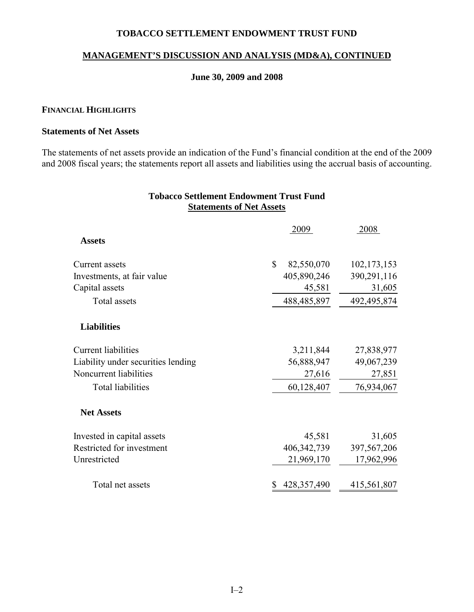#### **MANAGEMENT'S DISCUSSION AND ANALYSIS (MD&A), CONTINUED**

#### **June 30, 2009 and 2008**

#### **FINANCIAL HIGHLIGHTS**

#### **Statements of Net Assets**

The statements of net assets provide an indication of the Fund's financial condition at the end of the 2009 and 2008 fiscal years; the statements report all assets and liabilities using the accrual basis of accounting.

| 2009                | 2008          |
|---------------------|---------------|
|                     |               |
| \$<br>82,550,070    | 102, 173, 153 |
| 405,890,246         | 390,291,116   |
| 45,581              | 31,605        |
| 488, 485, 897       | 492,495,874   |
|                     |               |
| 3,211,844           | 27,838,977    |
| 56,888,947          | 49,067,239    |
| 27,616              | 27,851        |
| 60,128,407          | 76,934,067    |
|                     |               |
| 45,581              | 31,605        |
| 406, 342, 739       | 397, 567, 206 |
| 21,969,170          | 17,962,996    |
| 428, 357, 490<br>\$ | 415,561,807   |
|                     |               |

### **Tobacco Settlement Endowment Trust Fund Statements of Net Assets**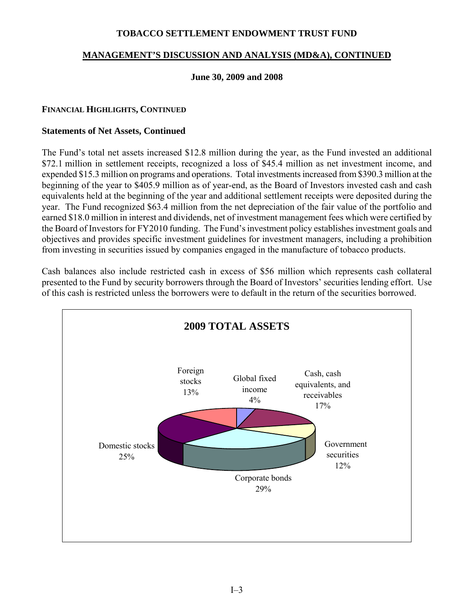#### **MANAGEMENT'S DISCUSSION AND ANALYSIS (MD&A), CONTINUED**

#### **June 30, 2009 and 2008**

#### **FINANCIAL HIGHLIGHTS, CONTINUED**

#### **Statements of Net Assets, Continued**

The Fund's total net assets increased \$12.8 million during the year, as the Fund invested an additional \$72.1 million in settlement receipts, recognized a loss of \$45.4 million as net investment income, and expended \$15.3 million on programs and operations. Total investments increased from \$390.3 million at the beginning of the year to \$405.9 million as of year-end, as the Board of Investors invested cash and cash equivalents held at the beginning of the year and additional settlement receipts were deposited during the year. The Fund recognized \$63.4 million from the net depreciation of the fair value of the portfolio and earned \$18.0 million in interest and dividends, net of investment management fees which were certified by the Board of Investors for FY2010 funding. The Fund's investment policy establishes investment goals and objectives and provides specific investment guidelines for investment managers, including a prohibition from investing in securities issued by companies engaged in the manufacture of tobacco products.

Cash balances also include restricted cash in excess of \$56 million which represents cash collateral presented to the Fund by security borrowers through the Board of Investors' securities lending effort. Use of this cash is restricted unless the borrowers were to default in the return of the securities borrowed.

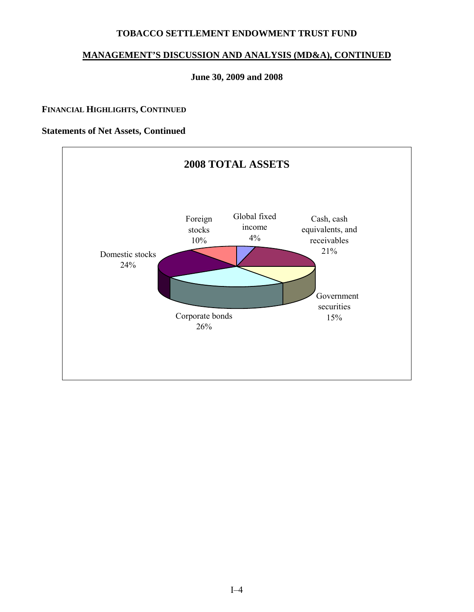# **MANAGEMENT'S DISCUSSION AND ANALYSIS (MD&A), CONTINUED**

#### **June 30, 2009 and 2008**

#### **FINANCIAL HIGHLIGHTS, CONTINUED**

#### **Statements of Net Assets, Continued**

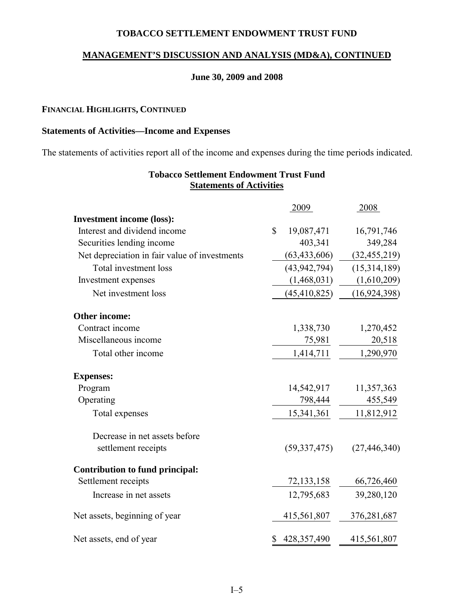# **MANAGEMENT'S DISCUSSION AND ANALYSIS (MD&A), CONTINUED**

#### **June 30, 2009 and 2008**

#### **FINANCIAL HIGHLIGHTS, CONTINUED**

### **Statements of Activities—Income and Expenses**

The statements of activities report all of the income and expenses during the time periods indicated.

|                                               | 2009             | 2008           |
|-----------------------------------------------|------------------|----------------|
| <b>Investment income (loss):</b>              |                  |                |
| Interest and dividend income                  | \$<br>19,087,471 | 16,791,746     |
| Securities lending income                     | 403,341          | 349,284        |
| Net depreciation in fair value of investments | (63, 433, 606)   | (32, 455, 219) |
| Total investment loss                         | (43, 942, 794)   | (15,314,189)   |
| Investment expenses                           | (1,468,031)      | (1,610,209)    |
| Net investment loss                           | (45, 410, 825)   | (16, 924, 398) |
| Other income:                                 |                  |                |
| Contract income                               | 1,338,730        | 1,270,452      |
| Miscellaneous income                          | 75,981           | 20,518         |
| Total other income                            | 1,414,711        | 1,290,970      |
| <b>Expenses:</b>                              |                  |                |
| Program                                       | 14,542,917       | 11,357,363     |
| Operating                                     | 798,444          | 455,549        |
| Total expenses                                | 15,341,361       | 11,812,912     |
| Decrease in net assets before                 |                  |                |
| settlement receipts                           | (59, 337, 475)   | (27, 446, 340) |
| Contribution to fund principal:               |                  |                |
| Settlement receipts                           | 72,133,158       | 66,726,460     |
| Increase in net assets                        | 12,795,683       | 39,280,120     |
| Net assets, beginning of year                 | 415,561,807      | 376,281,687    |
| Net assets, end of year                       | \$428,357,490    | 415,561,807    |

## **Tobacco Settlement Endowment Trust Fund Statements of Activities**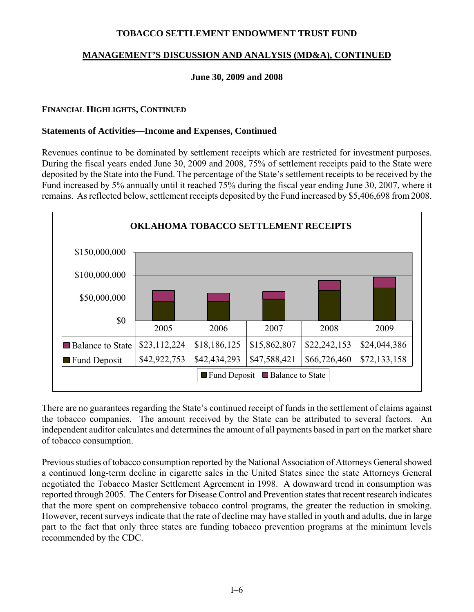### **MANAGEMENT'S DISCUSSION AND ANALYSIS (MD&A), CONTINUED**

### **June 30, 2009 and 2008**

#### **FINANCIAL HIGHLIGHTS, CONTINUED**

#### **Statements of Activities—Income and Expenses, Continued**

Revenues continue to be dominated by settlement receipts which are restricted for investment purposes. During the fiscal years ended June 30, 2009 and 2008, 75% of settlement receipts paid to the State were deposited by the State into the Fund. The percentage of the State's settlement receipts to be received by the Fund increased by 5% annually until it reached 75% during the fiscal year ending June 30, 2007, where it remains. As reflected below, settlement receipts deposited by the Fund increased by \$5,406,698 from 2008.



There are no guarantees regarding the State's continued receipt of funds in the settlement of claims against the tobacco companies. The amount received by the State can be attributed to several factors. An independent auditor calculates and determines the amount of all payments based in part on the market share of tobacco consumption.

Previous studies of tobacco consumption reported by the National Association of Attorneys General showed a continued long-term decline in cigarette sales in the United States since the state Attorneys General negotiated the Tobacco Master Settlement Agreement in 1998. A downward trend in consumption was reported through 2005. The Centers for Disease Control and Prevention states that recent research indicates that the more spent on comprehensive tobacco control programs, the greater the reduction in smoking. However, recent surveys indicate that the rate of decline may have stalled in youth and adults, due in large part to the fact that only three states are funding tobacco prevention programs at the minimum levels recommended by the CDC.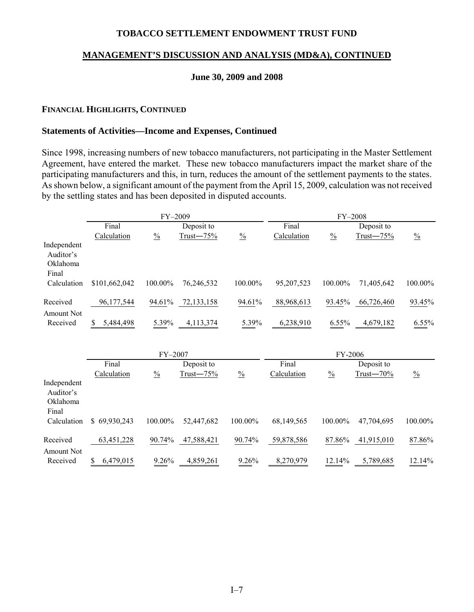#### **MANAGEMENT'S DISCUSSION AND ANALYSIS (MD&A), CONTINUED**

#### **June 30, 2009 and 2008**

#### **FINANCIAL HIGHLIGHTS, CONTINUED**

#### **Statements of Activities—Income and Expenses, Continued**

Since 1998, increasing numbers of new tobacco manufacturers, not participating in the Master Settlement Agreement, have entered the market. These new tobacco manufacturers impact the market share of the participating manufacturers and this, in turn, reduces the amount of the settlement payments to the states. As shown below, a significant amount of the payment from the April 15, 2009, calculation was not received by the settling states and has been deposited in disputed accounts.

|                                               |               | $FY-2009$     |              |               |              | $FY-2008$     |              |                      |
|-----------------------------------------------|---------------|---------------|--------------|---------------|--------------|---------------|--------------|----------------------|
|                                               | Final         |               | Deposit to   |               | Final        |               | Deposit to   |                      |
| Independent<br>Auditor's<br>Oklahoma<br>Final | Calculation   | $\frac{0}{0}$ | Trust $-75%$ | $\frac{0}{0}$ | Calculation  | $\frac{0}{0}$ | Trust $-75%$ | $\frac{0}{0}$        |
| Calculation                                   | \$101,662,042 | 100.00%       | 76,246,532   | 100.00%       | 95, 207, 523 | 100.00%       | 71,405,642   | 100.00%              |
| Received<br><b>Amount Not</b>                 | 96,177,544    | 94.61%        | 72,133,158   | 94.61%        | 88,968,613   | 93.45%        | 66,726,460   | 93.45%               |
| Received                                      | 5,484,498     | 5.39%         | 4,113,374    | 5.39%         | 6,238,910    | $6.55\%$      | 4,679,182    | $\underline{6.55\%}$ |
|                                               |               | $FY-2007$     |              |               |              | FY-2006       |              |                      |

|                                               |              | 1 Y – 2007    |               |               |             | 1° 1′ 1″ 1″ 1″ 1″ 1″ 1″ |                |               |
|-----------------------------------------------|--------------|---------------|---------------|---------------|-------------|-------------------------|----------------|---------------|
|                                               | Final        |               | Deposit to    |               | Final       |                         | Deposit to     |               |
|                                               | Calculation  | $\frac{0}{0}$ | Trust— $75\%$ | $\frac{0}{0}$ | Calculation | $\frac{0}{0}$           | $Trust - 70\%$ | $\frac{0}{0}$ |
| Independent<br>Auditor's<br>Oklahoma<br>Final |              |               |               |               |             |                         |                |               |
| Calculation                                   | \$69.930.243 | 100.00%       | 52,447,682    | 100.00%       | 68,149,565  | 100.00%                 | 47,704,695     | 100.00%       |
| Received<br><b>Amount Not</b>                 | 63,451,228   | 90.74%        | 47,588,421    | 90.74%        | 59,878,586  | 87.86%                  | 41,915,010     | 87.86%        |
| Received                                      | 6,479,015    | 9.26%         | 4,859,261     | 9.26%         | 8,270,979   | 12.14%                  | 5,789,685      | 12.14%        |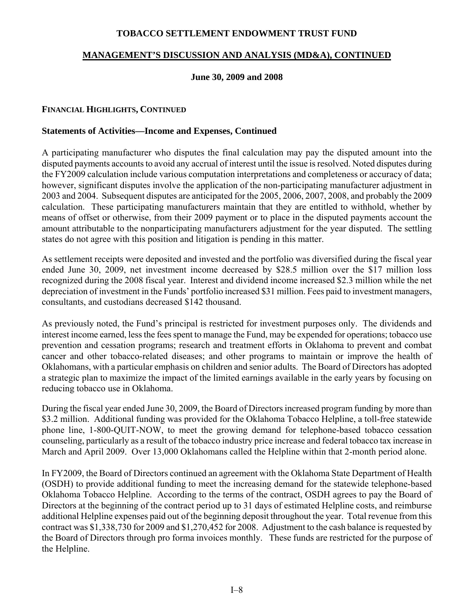#### **MANAGEMENT'S DISCUSSION AND ANALYSIS (MD&A), CONTINUED**

#### **June 30, 2009 and 2008**

#### **FINANCIAL HIGHLIGHTS, CONTINUED**

#### **Statements of Activities—Income and Expenses, Continued**

A participating manufacturer who disputes the final calculation may pay the disputed amount into the disputed payments accounts to avoid any accrual of interest until the issue is resolved. Noted disputes during the FY2009 calculation include various computation interpretations and completeness or accuracy of data; however, significant disputes involve the application of the non-participating manufacturer adjustment in 2003 and 2004. Subsequent disputes are anticipated for the 2005, 2006, 2007, 2008, and probably the 2009 calculation. These participating manufacturers maintain that they are entitled to withhold, whether by means of offset or otherwise, from their 2009 payment or to place in the disputed payments account the amount attributable to the nonparticipating manufacturers adjustment for the year disputed. The settling states do not agree with this position and litigation is pending in this matter.

As settlement receipts were deposited and invested and the portfolio was diversified during the fiscal year ended June 30, 2009, net investment income decreased by \$28.5 million over the \$17 million loss recognized during the 2008 fiscal year. Interest and dividend income increased \$2.3 million while the net depreciation of investment in the Funds' portfolio increased \$31 million. Fees paid to investment managers, consultants, and custodians decreased \$142 thousand.

As previously noted, the Fund's principal is restricted for investment purposes only. The dividends and interest income earned, less the fees spent to manage the Fund, may be expended for operations; tobacco use prevention and cessation programs; research and treatment efforts in Oklahoma to prevent and combat cancer and other tobacco-related diseases; and other programs to maintain or improve the health of Oklahomans, with a particular emphasis on children and senior adults. The Board of Directors has adopted a strategic plan to maximize the impact of the limited earnings available in the early years by focusing on reducing tobacco use in Oklahoma.

During the fiscal year ended June 30, 2009, the Board of Directors increased program funding by more than \$3.2 million. Additional funding was provided for the Oklahoma Tobacco Helpline, a toll-free statewide phone line, 1-800-QUIT-NOW, to meet the growing demand for telephone-based tobacco cessation counseling, particularly as a result of the tobacco industry price increase and federal tobacco tax increase in March and April 2009. Over 13,000 Oklahomans called the Helpline within that 2-month period alone.

In FY2009, the Board of Directors continued an agreement with the Oklahoma State Department of Health (OSDH) to provide additional funding to meet the increasing demand for the statewide telephone-based Oklahoma Tobacco Helpline. According to the terms of the contract, OSDH agrees to pay the Board of Directors at the beginning of the contract period up to 31 days of estimated Helpline costs, and reimburse additional Helpline expenses paid out of the beginning deposit throughout the year. Total revenue from this contract was \$1,338,730 for 2009 and \$1,270,452 for 2008. Adjustment to the cash balance is requested by the Board of Directors through pro forma invoices monthly. These funds are restricted for the purpose of the Helpline.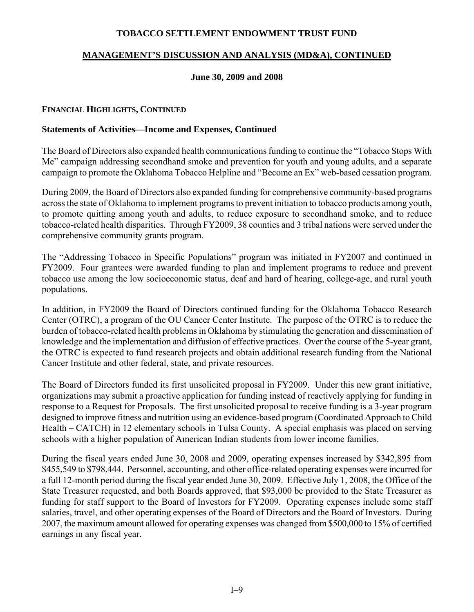#### **MANAGEMENT'S DISCUSSION AND ANALYSIS (MD&A), CONTINUED**

#### **June 30, 2009 and 2008**

#### **FINANCIAL HIGHLIGHTS, CONTINUED**

#### **Statements of Activities—Income and Expenses, Continued**

The Board of Directors also expanded health communications funding to continue the "Tobacco Stops With Me" campaign addressing secondhand smoke and prevention for youth and young adults, and a separate campaign to promote the Oklahoma Tobacco Helpline and "Become an Ex" web-based cessation program.

During 2009, the Board of Directors also expanded funding for comprehensive community-based programs across the state of Oklahoma to implement programs to prevent initiation to tobacco products among youth, to promote quitting among youth and adults, to reduce exposure to secondhand smoke, and to reduce tobacco-related health disparities. Through FY2009, 38 counties and 3 tribal nations were served under the comprehensive community grants program.

The "Addressing Tobacco in Specific Populations" program was initiated in FY2007 and continued in FY2009. Four grantees were awarded funding to plan and implement programs to reduce and prevent tobacco use among the low socioeconomic status, deaf and hard of hearing, college-age, and rural youth populations.

In addition, in FY2009 the Board of Directors continued funding for the Oklahoma Tobacco Research Center (OTRC), a program of the OU Cancer Center Institute. The purpose of the OTRC is to reduce the burden of tobacco-related health problems in Oklahoma by stimulating the generation and dissemination of knowledge and the implementation and diffusion of effective practices. Over the course of the 5-year grant, the OTRC is expected to fund research projects and obtain additional research funding from the National Cancer Institute and other federal, state, and private resources.

The Board of Directors funded its first unsolicited proposal in FY2009. Under this new grant initiative, organizations may submit a proactive application for funding instead of reactively applying for funding in response to a Request for Proposals. The first unsolicited proposal to receive funding is a 3-year program designed to improve fitness and nutrition using an evidence-based program (Coordinated Approach to Child Health – CATCH) in 12 elementary schools in Tulsa County. A special emphasis was placed on serving schools with a higher population of American Indian students from lower income families.

During the fiscal years ended June 30, 2008 and 2009, operating expenses increased by \$342,895 from \$455,549 to \$798,444. Personnel, accounting, and other office-related operating expenses were incurred for a full 12-month period during the fiscal year ended June 30, 2009. Effective July 1, 2008, the Office of the State Treasurer requested, and both Boards approved, that \$93,000 be provided to the State Treasurer as funding for staff support to the Board of Investors for FY2009. Operating expenses include some staff salaries, travel, and other operating expenses of the Board of Directors and the Board of Investors. During 2007, the maximum amount allowed for operating expenses was changed from \$500,000 to 15% of certified earnings in any fiscal year.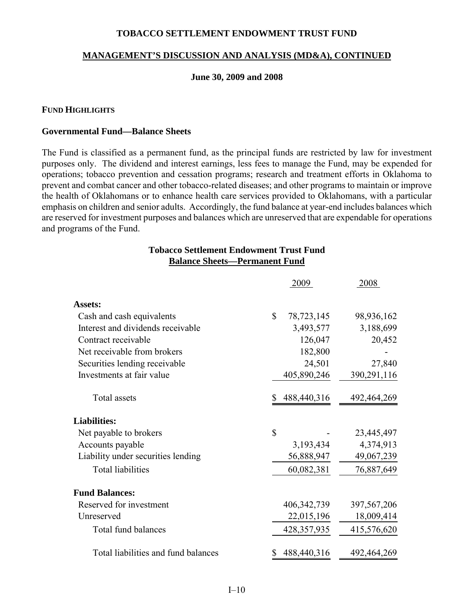#### **MANAGEMENT'S DISCUSSION AND ANALYSIS (MD&A), CONTINUED**

#### **June 30, 2009 and 2008**

#### **FUND HIGHLIGHTS**

#### **Governmental Fund—Balance Sheets**

The Fund is classified as a permanent fund, as the principal funds are restricted by law for investment purposes only. The dividend and interest earnings, less fees to manage the Fund, may be expended for operations; tobacco prevention and cessation programs; research and treatment efforts in Oklahoma to prevent and combat cancer and other tobacco-related diseases; and other programs to maintain or improve the health of Oklahomans or to enhance health care services provided to Oklahomans, with a particular emphasis on children and senior adults. Accordingly, the fund balance at year-end includes balances which are reserved for investment purposes and balances which are unreserved that are expendable for operations and programs of the Fund.

### **Tobacco Settlement Endowment Trust Fund Balance Sheets—Permanent Fund**

|                                     | 2009               | 2008          |
|-------------------------------------|--------------------|---------------|
| <b>Assets:</b>                      |                    |               |
| Cash and cash equivalents           | \$<br>78, 723, 145 | 98,936,162    |
| Interest and dividends receivable   | 3,493,577          | 3,188,699     |
| Contract receivable                 | 126,047            | 20,452        |
| Net receivable from brokers         | 182,800            |               |
| Securities lending receivable       | 24,501             | 27,840        |
| Investments at fair value           | 405,890,246        | 390,291,116   |
| Total assets                        | \$<br>488,440,316  | 492,464,269   |
| <b>Liabilities:</b>                 |                    |               |
| Net payable to brokers              | \$                 | 23,445,497    |
| Accounts payable                    | 3, 193, 434        | 4,374,913     |
| Liability under securities lending  | 56,888,947         | 49,067,239    |
| <b>Total liabilities</b>            | 60,082,381         | 76,887,649    |
| <b>Fund Balances:</b>               |                    |               |
| Reserved for investment             | 406, 342, 739      | 397, 567, 206 |
| Unreserved                          | 22,015,196         | 18,009,414    |
| Total fund balances                 | 428, 357, 935      | 415,576,620   |
| Total liabilities and fund balances | \$<br>488,440,316  | 492,464,269   |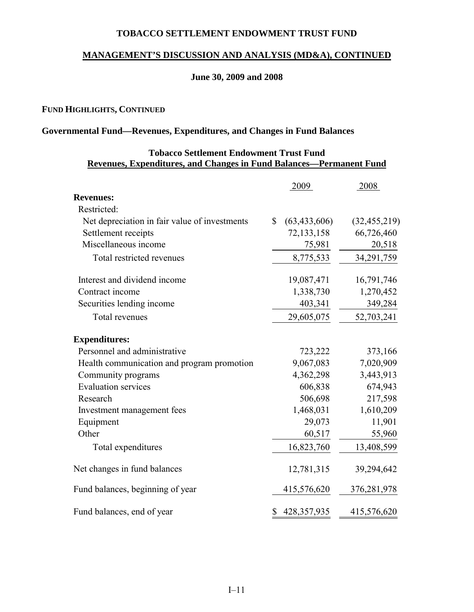### **MANAGEMENT'S DISCUSSION AND ANALYSIS (MD&A), CONTINUED**

#### **June 30, 2009 and 2008**

#### **FUND HIGHLIGHTS, CONTINUED**

### **Governmental Fund—Revenues, Expenditures, and Changes in Fund Balances**

#### **Tobacco Settlement Endowment Trust Fund Revenues, Expenditures, and Changes in Fund Balances—Permanent Fund**

|                                               | 2009                 | 2008           |
|-----------------------------------------------|----------------------|----------------|
| <b>Revenues:</b>                              |                      |                |
| Restricted:                                   |                      |                |
| Net depreciation in fair value of investments | \$<br>(63, 433, 606) | (32, 455, 219) |
| Settlement receipts                           | 72,133,158           | 66,726,460     |
| Miscellaneous income                          | 75,981               | 20,518         |
| Total restricted revenues                     | 8,775,533            | 34,291,759     |
| Interest and dividend income                  | 19,087,471           | 16,791,746     |
| Contract income                               | 1,338,730            | 1,270,452      |
| Securities lending income                     | 403,341              | 349,284        |
| Total revenues                                | 29,605,075           | 52,703,241     |
| <b>Expenditures:</b>                          |                      |                |
| Personnel and administrative                  | 723,222              | 373,166        |
| Health communication and program promotion    | 9,067,083            | 7,020,909      |
| Community programs                            | 4,362,298            | 3,443,913      |
| <b>Evaluation services</b>                    | 606,838              | 674,943        |
| Research                                      | 506,698              | 217,598        |
| Investment management fees                    | 1,468,031            | 1,610,209      |
| Equipment                                     | 29,073               | 11,901         |
| Other                                         | 60,517               | 55,960         |
| Total expenditures                            | 16,823,760           | 13,408,599     |
| Net changes in fund balances                  | 12,781,315           | 39,294,642     |
| Fund balances, beginning of year              | 415,576,620          | 376,281,978    |
| Fund balances, end of year                    | \$428,357,935        | 415,576,620    |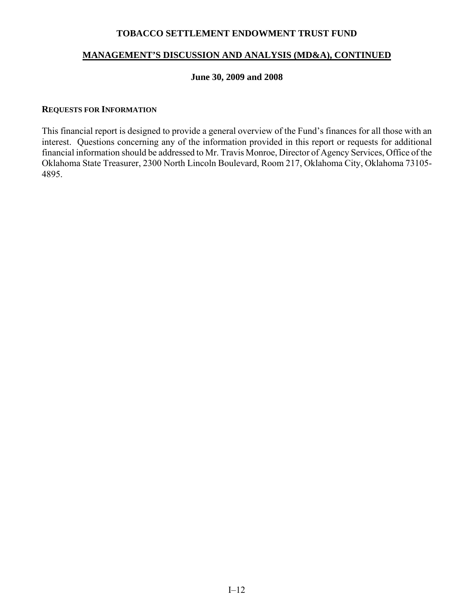#### **MANAGEMENT'S DISCUSSION AND ANALYSIS (MD&A), CONTINUED**

#### **June 30, 2009 and 2008**

#### **REQUESTS FOR INFORMATION**

This financial report is designed to provide a general overview of the Fund's finances for all those with an interest. Questions concerning any of the information provided in this report or requests for additional financial information should be addressed to Mr. Travis Monroe, Director of Agency Services, Office of the Oklahoma State Treasurer, 2300 North Lincoln Boulevard, Room 217, Oklahoma City, Oklahoma 73105- 4895.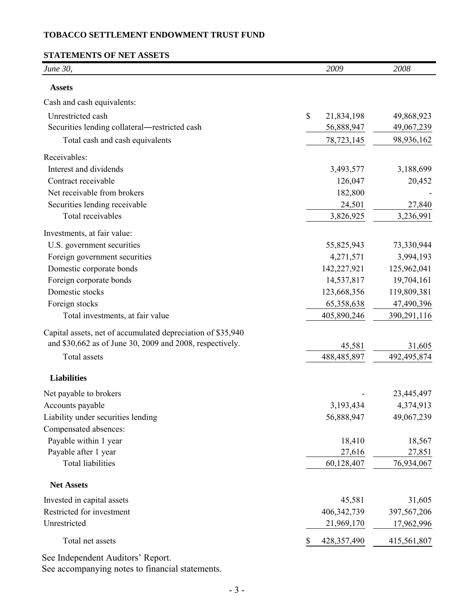### **STATEMENTS OF NET ASSETS**

| <i>June 30,</i>                                             | 2009                | 2008          |
|-------------------------------------------------------------|---------------------|---------------|
| <b>Assets</b>                                               |                     |               |
| Cash and cash equivalents:                                  |                     |               |
| Unrestricted cash                                           | \$<br>21,834,198    | 49,868,923    |
| Securities lending collateral—restricted cash               | 56,888,947          | 49,067,239    |
| Total cash and cash equivalents                             | 78,723,145          | 98,936,162    |
| Receivables:                                                |                     |               |
| Interest and dividends                                      | 3,493,577           | 3,188,699     |
| Contract receivable                                         | 126,047             | 20,452        |
| Net receivable from brokers                                 | 182,800             |               |
| Securities lending receivable                               | 24,501              | 27,840        |
| Total receivables                                           | 3,826,925           | 3,236,991     |
| Investments, at fair value:                                 |                     |               |
| U.S. government securities                                  | 55,825,943          | 73,330,944    |
| Foreign government securities                               | 4,271,571           | 3,994,193     |
| Domestic corporate bonds                                    | 142,227,921         | 125,962,041   |
| Foreign corporate bonds                                     | 14,537,817          | 19,704,161    |
| Domestic stocks                                             | 123,668,356         | 119,809,381   |
| Foreign stocks                                              | 65,358,638          | 47,490,396    |
| Total investments, at fair value                            | 405,890,246         | 390,291,116   |
| Capital assets, net of accumulated depreciation of \$35,940 |                     |               |
| and \$30,662 as of June 30, 2009 and 2008, respectively.    | 45,581              | 31,605        |
| Total assets                                                | 488, 485, 897       | 492, 495, 874 |
| <b>Liabilities</b>                                          |                     |               |
| Net payable to brokers                                      |                     | 23,445,497    |
| Accounts payable                                            | 3,193,434           | 4,374,913     |
| Liability under securities lending                          | 56,888,947          | 49,067,239    |
| Compensated absences:                                       |                     |               |
| Payable within 1 year                                       | 18,410              | 18,567        |
| Payable after 1 year                                        | 27,616              | 27,851        |
| <b>Total liabilities</b>                                    | 60,128,407          | 76,934,067    |
| <b>Net Assets</b>                                           |                     |               |
| Invested in capital assets                                  | 45,581              | 31,605        |
| Restricted for investment                                   | 406, 342, 739       | 397,567,206   |
| Unrestricted                                                | 21,969,170          | 17,962,996    |
| Total net assets                                            | \$<br>428, 357, 490 | 415,561,807   |
| See Independent Auditors' Report.                           |                     |               |

See accompanying notes to financial statements.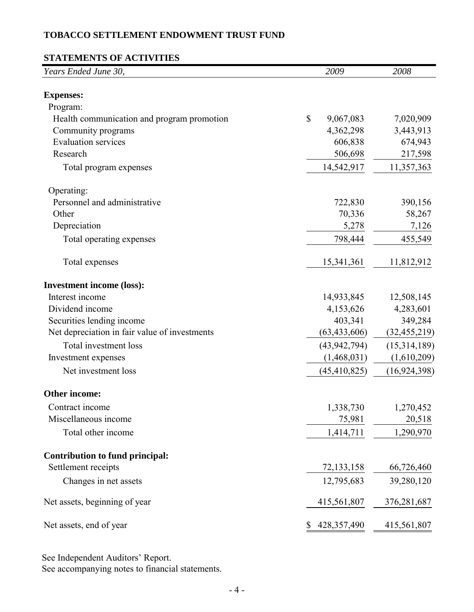# **STATEMENTS OF ACTIVITIES**

| Years Ended June 30,                          | 2009            | 2008           |
|-----------------------------------------------|-----------------|----------------|
|                                               |                 |                |
| <b>Expenses:</b><br>Program:                  |                 |                |
| Health communication and program promotion    | \$<br>9,067,083 | 7,020,909      |
| Community programs                            | 4,362,298       | 3,443,913      |
| <b>Evaluation services</b>                    | 606,838         | 674,943        |
| Research                                      | 506,698         | 217,598        |
| Total program expenses                        | 14,542,917      | 11,357,363     |
| Operating:                                    |                 |                |
| Personnel and administrative                  | 722,830         | 390,156        |
| Other                                         | 70,336          | 58,267         |
| Depreciation                                  | 5,278           | 7,126          |
| Total operating expenses                      | 798,444         | 455,549        |
| Total expenses                                | 15,341,361      | 11,812,912     |
| <b>Investment income (loss):</b>              |                 |                |
| Interest income                               | 14,933,845      | 12,508,145     |
| Dividend income                               | 4,153,626       | 4,283,601      |
| Securities lending income                     | 403,341         | 349,284        |
| Net depreciation in fair value of investments | (63, 433, 606)  | (32, 455, 219) |
| Total investment loss                         | (43, 942, 794)  | (15,314,189)   |
| Investment expenses                           | (1,468,031)     | (1,610,209)    |
| Net investment loss                           | (45, 410, 825)  | (16, 924, 398) |
| <b>Other income:</b>                          |                 |                |
| Contract income                               | 1,338,730       | 1,270,452      |
| Miscellaneous income                          | 75,981          | 20,518         |
| Total other income                            | 1,414,711       | 1,290,970      |
| Contribution to fund principal:               |                 |                |
| Settlement receipts                           | 72,133,158      | 66,726,460     |
| Changes in net assets                         | 12,795,683      | 39,280,120     |
| Net assets, beginning of year                 | 415,561,807     | 376,281,687    |
| Net assets, end of year                       | 428,357,490     | 415,561,807    |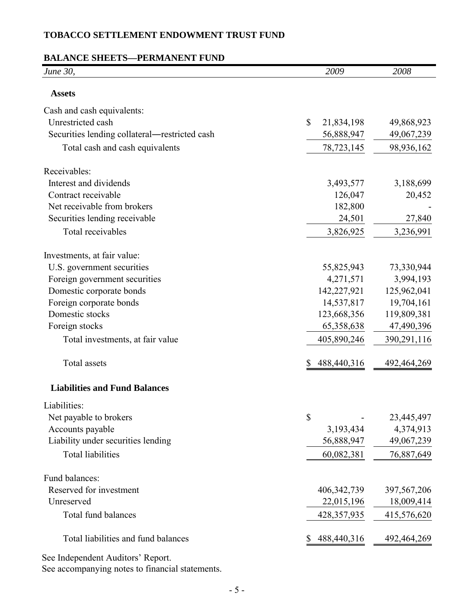# **BALANCE SHEETS—PERMANENT FUND**

| June 30,                                      | 2009              | 2008          |
|-----------------------------------------------|-------------------|---------------|
| <b>Assets</b>                                 |                   |               |
| Cash and cash equivalents:                    |                   |               |
| Unrestricted cash                             | \$<br>21,834,198  | 49,868,923    |
| Securities lending collateral—restricted cash | 56,888,947        | 49,067,239    |
| Total cash and cash equivalents               | 78,723,145        | 98,936,162    |
| Receivables:                                  |                   |               |
| Interest and dividends                        | 3,493,577         | 3,188,699     |
| Contract receivable                           | 126,047           | 20,452        |
| Net receivable from brokers                   | 182,800           |               |
| Securities lending receivable                 | 24,501            | 27,840        |
| Total receivables                             | 3,826,925         | 3,236,991     |
| Investments, at fair value:                   |                   |               |
| U.S. government securities                    | 55,825,943        | 73,330,944    |
| Foreign government securities                 | 4,271,571         | 3,994,193     |
| Domestic corporate bonds                      | 142,227,921       | 125,962,041   |
| Foreign corporate bonds                       | 14,537,817        | 19,704,161    |
| Domestic stocks                               | 123,668,356       | 119,809,381   |
| Foreign stocks                                | 65,358,638        | 47,490,396    |
| Total investments, at fair value              | 405,890,246       | 390,291,116   |
| Total assets                                  | \$<br>488,440,316 | 492,464,269   |
| <b>Liabilities and Fund Balances</b>          |                   |               |
| Liabilities:                                  |                   |               |
| Net payable to brokers                        | \$                | 23,445,497    |
| Accounts payable                              | 3,193,434         | 4,374,913     |
| Liability under securities lending            | 56,888,947        | 49,067,239    |
| <b>Total liabilities</b>                      | 60,082,381        | 76,887,649    |
| Fund balances:                                |                   |               |
| Reserved for investment                       | 406, 342, 739     | 397, 567, 206 |
| Unreserved                                    | 22,015,196        | 18,009,414    |
| Total fund balances                           | 428, 357, 935     | 415,576,620   |
| Total liabilities and fund balances           | 488,440,316<br>S  | 492,464,269   |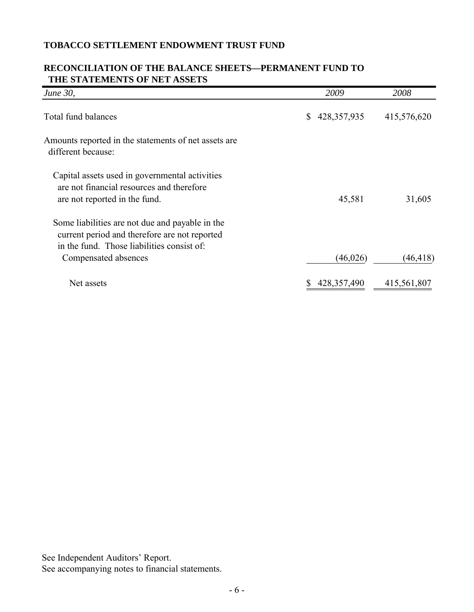### **RECONCILIATION OF THE BALANCE SHEETS—PERMANENT FUND TO THE STATEMENTS OF NET ASSETS**

| June 30,                                                                                                                                       | 2009                | 2008        |
|------------------------------------------------------------------------------------------------------------------------------------------------|---------------------|-------------|
| Total fund balances                                                                                                                            | 428, 357, 935<br>\$ | 415,576,620 |
| Amounts reported in the statements of net assets are.<br>different because:                                                                    |                     |             |
| Capital assets used in governmental activities<br>are not financial resources and therefore<br>are not reported in the fund.                   | 45,581              | 31,605      |
| Some liabilities are not due and payable in the<br>current period and therefore are not reported<br>in the fund. Those liabilities consist of: |                     |             |
| Compensated absences                                                                                                                           | (46, 026)           | (46, 418)   |
| Net assets                                                                                                                                     | 428, 357, 490       | 415,561,807 |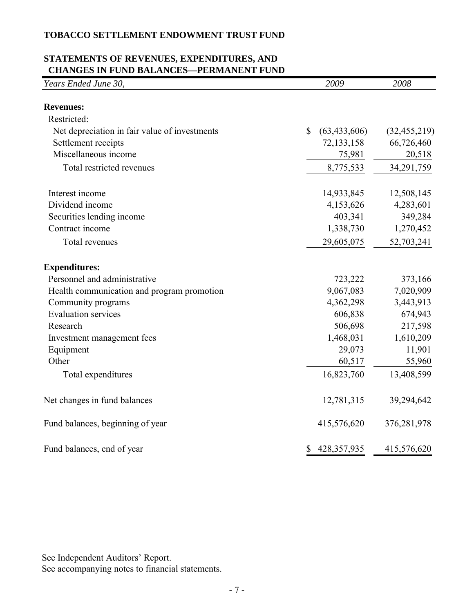# **STATEMENTS OF REVENUES, EXPENDITURES, AND CHANGES IN FUND BALANCES—PERMANENT FUND**

| Years Ended June 30,                          | 2009                 | 2008           |
|-----------------------------------------------|----------------------|----------------|
| <b>Revenues:</b>                              |                      |                |
| Restricted:                                   |                      |                |
| Net depreciation in fair value of investments | \$<br>(63, 433, 606) | (32, 455, 219) |
| Settlement receipts                           | 72,133,158           | 66,726,460     |
| Miscellaneous income                          | 75,981               | 20,518         |
| Total restricted revenues                     | 8,775,533            | 34,291,759     |
| Interest income                               | 14,933,845           | 12,508,145     |
| Dividend income                               | 4,153,626            | 4,283,601      |
| Securities lending income                     | 403,341              | 349,284        |
| Contract income                               | 1,338,730            | 1,270,452      |
| <b>Total revenues</b>                         | 29,605,075           | 52,703,241     |
| <b>Expenditures:</b>                          |                      |                |
| Personnel and administrative                  | 723,222              | 373,166        |
| Health communication and program promotion    | 9,067,083            | 7,020,909      |
| Community programs                            | 4,362,298            | 3,443,913      |
| <b>Evaluation services</b>                    | 606,838              | 674,943        |
| Research                                      | 506,698              | 217,598        |
| Investment management fees                    | 1,468,031            | 1,610,209      |
| Equipment                                     | 29,073               | 11,901         |
| Other                                         | 60,517               | 55,960         |
| Total expenditures                            | 16,823,760           | 13,408,599     |
| Net changes in fund balances                  | 12,781,315           | 39,294,642     |
| Fund balances, beginning of year              | 415,576,620          | 376,281,978    |
| Fund balances, end of year                    | 428, 357, 935<br>\$  | 415,576,620    |

See Independent Auditors' Report.

See accompanying notes to financial statements.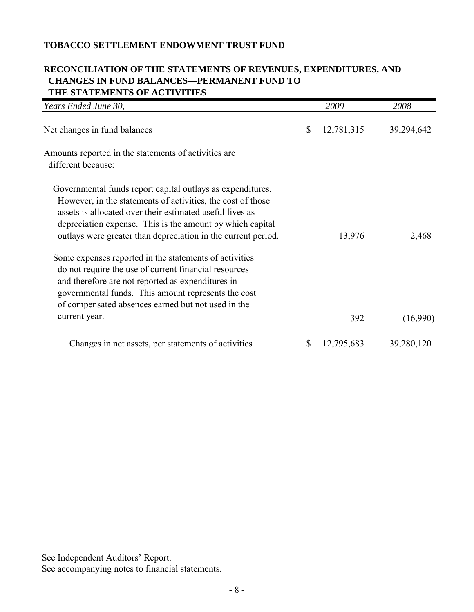# **RECONCILIATION OF THE STATEMENTS OF REVENUES, EXPENDITURES, AND CHANGES IN FUND BALANCES—PERMANENT FUND TO THE STATEMENTS OF ACTIVITIES**

| Years Ended June 30,                                                                                                                                                                                                                                                                                                | 2009             | 2008       |
|---------------------------------------------------------------------------------------------------------------------------------------------------------------------------------------------------------------------------------------------------------------------------------------------------------------------|------------------|------------|
| Net changes in fund balances                                                                                                                                                                                                                                                                                        | \$<br>12,781,315 | 39,294,642 |
| Amounts reported in the statements of activities are<br>different because:                                                                                                                                                                                                                                          |                  |            |
| Governmental funds report capital outlays as expenditures.<br>However, in the statements of activities, the cost of those<br>assets is allocated over their estimated useful lives as<br>depreciation expense. This is the amount by which capital<br>outlays were greater than depreciation in the current period. | 13,976           | 2,468      |
| Some expenses reported in the statements of activities<br>do not require the use of current financial resources<br>and therefore are not reported as expenditures in<br>governmental funds. This amount represents the cost<br>of compensated absences earned but not used in the                                   |                  |            |
| current year.                                                                                                                                                                                                                                                                                                       | 392              | (16,990)   |
| Changes in net assets, per statements of activities                                                                                                                                                                                                                                                                 | 12,795,683       | 39,280,120 |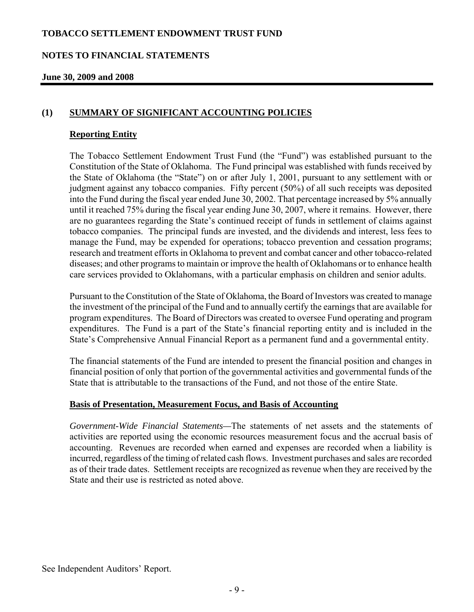#### **NOTES TO FINANCIAL STATEMENTS**

#### **June 30, 2009 and 2008**

#### **(1) SUMMARY OF SIGNIFICANT ACCOUNTING POLICIES**

#### **Reporting Entity**

The Tobacco Settlement Endowment Trust Fund (the "Fund") was established pursuant to the Constitution of the State of Oklahoma. The Fund principal was established with funds received by the State of Oklahoma (the "State") on or after July 1, 2001, pursuant to any settlement with or judgment against any tobacco companies. Fifty percent (50%) of all such receipts was deposited into the Fund during the fiscal year ended June 30, 2002. That percentage increased by 5% annually until it reached 75% during the fiscal year ending June 30, 2007, where it remains. However, there are no guarantees regarding the State's continued receipt of funds in settlement of claims against tobacco companies. The principal funds are invested, and the dividends and interest, less fees to manage the Fund, may be expended for operations; tobacco prevention and cessation programs; research and treatment efforts in Oklahoma to prevent and combat cancer and other tobacco-related diseases; and other programs to maintain or improve the health of Oklahomans or to enhance health care services provided to Oklahomans, with a particular emphasis on children and senior adults.

Pursuant to the Constitution of the State of Oklahoma, the Board of Investors was created to manage the investment of the principal of the Fund and to annually certify the earnings that are available for program expenditures. The Board of Directors was created to oversee Fund operating and program expenditures. The Fund is a part of the State's financial reporting entity and is included in the State's Comprehensive Annual Financial Report as a permanent fund and a governmental entity.

The financial statements of the Fund are intended to present the financial position and changes in financial position of only that portion of the governmental activities and governmental funds of the State that is attributable to the transactions of the Fund, and not those of the entire State.

#### **Basis of Presentation, Measurement Focus, and Basis of Accounting**

*Government-Wide Financial Statements—*The statements of net assets and the statements of activities are reported using the economic resources measurement focus and the accrual basis of accounting. Revenues are recorded when earned and expenses are recorded when a liability is incurred, regardless of the timing of related cash flows. Investment purchases and sales are recorded as of their trade dates. Settlement receipts are recognized as revenue when they are received by the State and their use is restricted as noted above.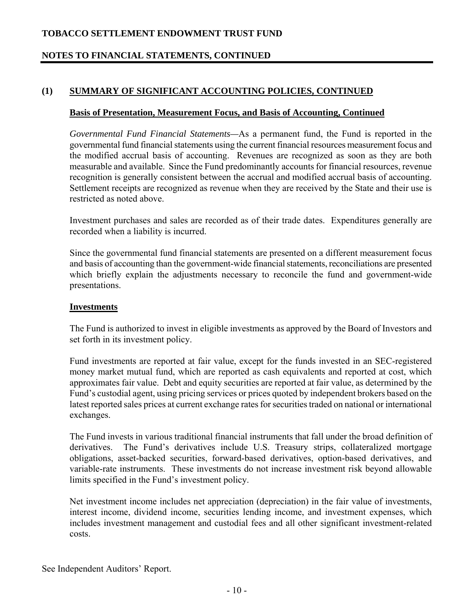# **NOTES TO FINANCIAL STATEMENTS, CONTINUED**

### **(1) SUMMARY OF SIGNIFICANT ACCOUNTING POLICIES, CONTINUED**

#### **Basis of Presentation, Measurement Focus, and Basis of Accounting, Continued**

*Governmental Fund Financial Statements—*As a permanent fund, the Fund is reported in the governmental fund financial statements using the current financial resources measurement focus and the modified accrual basis of accounting. Revenues are recognized as soon as they are both measurable and available. Since the Fund predominantly accounts for financial resources, revenue recognition is generally consistent between the accrual and modified accrual basis of accounting. Settlement receipts are recognized as revenue when they are received by the State and their use is restricted as noted above.

Investment purchases and sales are recorded as of their trade dates. Expenditures generally are recorded when a liability is incurred.

Since the governmental fund financial statements are presented on a different measurement focus and basis of accounting than the government-wide financial statements, reconciliations are presented which briefly explain the adjustments necessary to reconcile the fund and government-wide presentations.

#### **Investments**

The Fund is authorized to invest in eligible investments as approved by the Board of Investors and set forth in its investment policy.

Fund investments are reported at fair value, except for the funds invested in an SEC-registered money market mutual fund, which are reported as cash equivalents and reported at cost, which approximates fair value. Debt and equity securities are reported at fair value, as determined by the Fund's custodial agent, using pricing services or prices quoted by independent brokers based on the latest reported sales prices at current exchange rates for securities traded on national or international exchanges.

The Fund invests in various traditional financial instruments that fall under the broad definition of derivatives. The Fund's derivatives include U.S. Treasury strips, collateralized mortgage obligations, asset-backed securities, forward-based derivatives, option-based derivatives, and variable-rate instruments. These investments do not increase investment risk beyond allowable limits specified in the Fund's investment policy.

Net investment income includes net appreciation (depreciation) in the fair value of investments, interest income, dividend income, securities lending income, and investment expenses, which includes investment management and custodial fees and all other significant investment-related costs.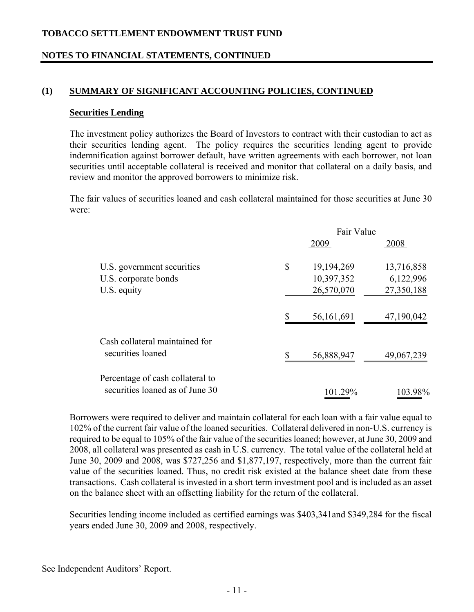### **NOTES TO FINANCIAL STATEMENTS, CONTINUED**

#### **(1) SUMMARY OF SIGNIFICANT ACCOUNTING POLICIES, CONTINUED**

#### **Securities Lending**

The investment policy authorizes the Board of Investors to contract with their custodian to act as their securities lending agent. The policy requires the securities lending agent to provide indemnification against borrower default, have written agreements with each borrower, not loan securities until acceptable collateral is received and monitor that collateral on a daily basis, and review and monitor the approved borrowers to minimize risk.

The fair values of securities loaned and cash collateral maintained for those securities at June 30 were:

|                                                                     | Fair Value |            |            |
|---------------------------------------------------------------------|------------|------------|------------|
|                                                                     |            | 2009       | 2008       |
| U.S. government securities                                          | \$         | 19,194,269 | 13,716,858 |
| U.S. corporate bonds                                                |            | 10,397,352 | 6,122,996  |
| U.S. equity                                                         |            | 26,570,070 | 27,350,188 |
|                                                                     | \$         | 56,161,691 | 47,190,042 |
| Cash collateral maintained for                                      |            |            |            |
| securities loaned                                                   | \$         | 56,888,947 | 49,067,239 |
| Percentage of cash collateral to<br>securities loaned as of June 30 |            |            |            |
|                                                                     |            | 101.29%    | 103.98%    |

Borrowers were required to deliver and maintain collateral for each loan with a fair value equal to 102% of the current fair value of the loaned securities. Collateral delivered in non-U.S. currency is required to be equal to 105% of the fair value of the securities loaned; however, at June 30, 2009 and 2008, all collateral was presented as cash in U.S. currency. The total value of the collateral held at June 30, 2009 and 2008, was \$727,256 and \$1,877,197, respectively, more than the current fair value of the securities loaned. Thus, no credit risk existed at the balance sheet date from these transactions. Cash collateral is invested in a short term investment pool and is included as an asset on the balance sheet with an offsetting liability for the return of the collateral.

Securities lending income included as certified earnings was \$403,341and \$349,284 for the fiscal years ended June 30, 2009 and 2008, respectively.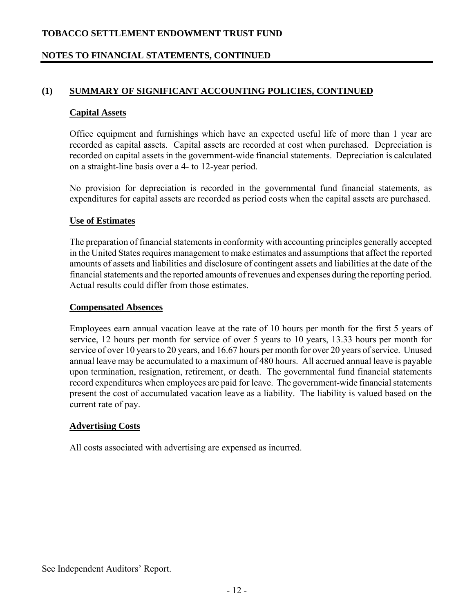### **NOTES TO FINANCIAL STATEMENTS, CONTINUED**

#### **(1) SUMMARY OF SIGNIFICANT ACCOUNTING POLICIES, CONTINUED**

#### **Capital Assets**

Office equipment and furnishings which have an expected useful life of more than 1 year are recorded as capital assets. Capital assets are recorded at cost when purchased. Depreciation is recorded on capital assets in the government-wide financial statements. Depreciation is calculated on a straight-line basis over a 4- to 12-year period.

No provision for depreciation is recorded in the governmental fund financial statements, as expenditures for capital assets are recorded as period costs when the capital assets are purchased.

#### **Use of Estimates**

The preparation of financial statements in conformity with accounting principles generally accepted in the United States requires management to make estimates and assumptions that affect the reported amounts of assets and liabilities and disclosure of contingent assets and liabilities at the date of the financial statements and the reported amounts of revenues and expenses during the reporting period. Actual results could differ from those estimates.

#### **Compensated Absences**

Employees earn annual vacation leave at the rate of 10 hours per month for the first 5 years of service, 12 hours per month for service of over 5 years to 10 years, 13.33 hours per month for service of over 10 years to 20 years, and 16.67 hours per month for over 20 years of service. Unused annual leave may be accumulated to a maximum of 480 hours. All accrued annual leave is payable upon termination, resignation, retirement, or death. The governmental fund financial statements record expenditures when employees are paid for leave. The government-wide financial statements present the cost of accumulated vacation leave as a liability. The liability is valued based on the current rate of pay.

#### **Advertising Costs**

All costs associated with advertising are expensed as incurred.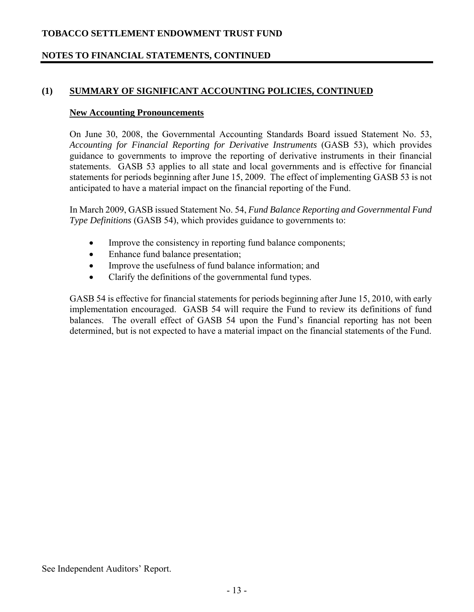# **NOTES TO FINANCIAL STATEMENTS, CONTINUED**

#### **(1) SUMMARY OF SIGNIFICANT ACCOUNTING POLICIES, CONTINUED**

#### **New Accounting Pronouncements**

On June 30, 2008, the Governmental Accounting Standards Board issued Statement No. 53, *Accounting for Financial Reporting for Derivative Instruments* (GASB 53), which provides guidance to governments to improve the reporting of derivative instruments in their financial statements. GASB 53 applies to all state and local governments and is effective for financial statements for periods beginning after June 15, 2009. The effect of implementing GASB 53 is not anticipated to have a material impact on the financial reporting of the Fund.

In March 2009, GASB issued Statement No. 54, *Fund Balance Reporting and Governmental Fund Type Definitions* (GASB 54), which provides guidance to governments to:

- Improve the consistency in reporting fund balance components;
- Enhance fund balance presentation;
- Improve the usefulness of fund balance information; and
- Clarify the definitions of the governmental fund types.

GASB 54 is effective for financial statements for periods beginning after June 15, 2010, with early implementation encouraged. GASB 54 will require the Fund to review its definitions of fund balances. The overall effect of GASB 54 upon the Fund's financial reporting has not been determined, but is not expected to have a material impact on the financial statements of the Fund.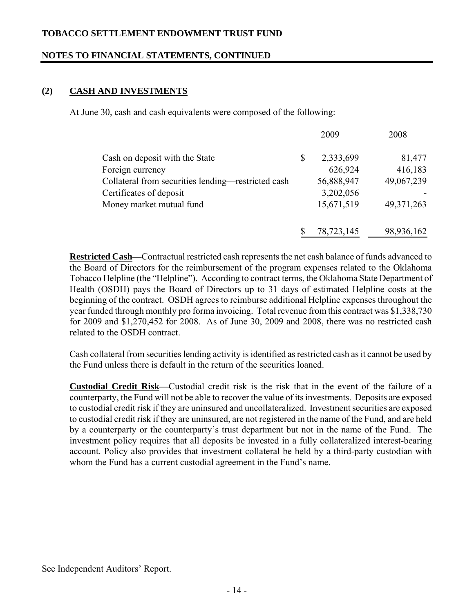### **NOTES TO FINANCIAL STATEMENTS, CONTINUED**

#### **(2) CASH AND INVESTMENTS**

At June 30, cash and cash equivalents were composed of the following:

|                                                    | 2009            | 2008         |
|----------------------------------------------------|-----------------|--------------|
| Cash on deposit with the State                     | \$<br>2,333,699 | 81,477       |
| Foreign currency                                   | 626,924         | 416,183      |
| Collateral from securities lending—restricted cash | 56,888,947      | 49,067,239   |
| Certificates of deposit                            | 3,202,056       |              |
| Money market mutual fund                           | 15,671,519      | 49, 371, 263 |
|                                                    | 78,723,145      | 98,936,162   |

**Restricted Cash—**Contractual restricted cash represents the net cash balance of funds advanced to the Board of Directors for the reimbursement of the program expenses related to the Oklahoma Tobacco Helpline (the "Helpline"). According to contract terms, the Oklahoma State Department of Health (OSDH) pays the Board of Directors up to 31 days of estimated Helpline costs at the beginning of the contract. OSDH agrees to reimburse additional Helpline expenses throughout the year funded through monthly pro forma invoicing. Total revenue from this contract was \$1,338,730 for 2009 and \$1,270,452 for 2008. As of June 30, 2009 and 2008, there was no restricted cash related to the OSDH contract.

Cash collateral from securities lending activity is identified as restricted cash as it cannot be used by the Fund unless there is default in the return of the securities loaned.

**Custodial Credit Risk—**Custodial credit risk is the risk that in the event of the failure of a counterparty, the Fund will not be able to recover the value of its investments. Deposits are exposed to custodial credit risk if they are uninsured and uncollateralized. Investment securities are exposed to custodial credit risk if they are uninsured, are not registered in the name of the Fund, and are held by a counterparty or the counterparty's trust department but not in the name of the Fund. The investment policy requires that all deposits be invested in a fully collateralized interest-bearing account. Policy also provides that investment collateral be held by a third-party custodian with whom the Fund has a current custodial agreement in the Fund's name.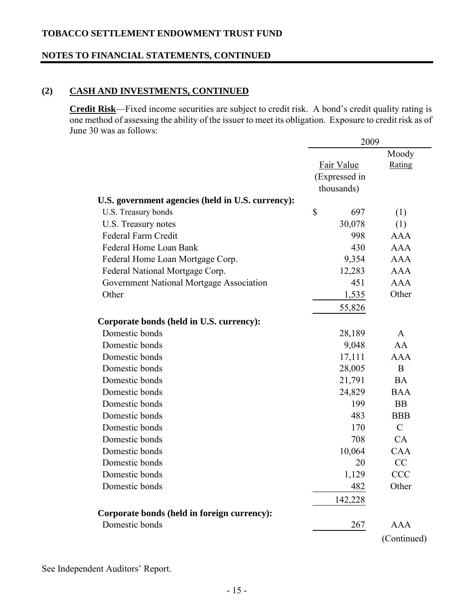### **NOTES TO FINANCIAL STATEMENTS, CONTINUED**

# **(2) CASH AND INVESTMENTS, CONTINUED**

**Credit Risk**—Fixed income securities are subject to credit risk. A bond's credit quality rating is one method of assessing the ability of the issuer to meet its obligation. Exposure to credit risk as of June 30 was as follows:

|                                                   | 2009 |               |               |
|---------------------------------------------------|------|---------------|---------------|
|                                                   |      |               | Moody         |
|                                                   |      | Fair Value    | Rating        |
|                                                   |      | (Expressed in |               |
|                                                   |      | thousands)    |               |
| U.S. government agencies (held in U.S. currency): |      |               |               |
| U.S. Treasury bonds                               | \$   | 697           | (1)           |
| U.S. Treasury notes                               |      | 30,078        | (1)           |
| <b>Federal Farm Credit</b>                        |      | 998           | <b>AAA</b>    |
| Federal Home Loan Bank                            |      | 430           | <b>AAA</b>    |
| Federal Home Loan Mortgage Corp.                  |      | 9,354         | <b>AAA</b>    |
| Federal National Mortgage Corp.                   |      | 12,283        | <b>AAA</b>    |
| Government National Mortgage Association          |      | 451           | <b>AAA</b>    |
| Other                                             |      | 1,535         | Other         |
|                                                   |      | 55,826        |               |
| Corporate bonds (held in U.S. currency):          |      |               |               |
| Domestic bonds                                    |      | 28,189        | $\mathsf{A}$  |
| Domestic bonds                                    |      | 9,048         | AA            |
| Domestic bonds                                    |      | 17,111        | <b>AAA</b>    |
| Domestic bonds                                    |      | 28,005        | B             |
| Domestic bonds                                    |      | 21,791        | <b>BA</b>     |
| Domestic bonds                                    |      | 24,829        | <b>BAA</b>    |
| Domestic bonds                                    |      | 199           | <b>BB</b>     |
| Domestic bonds                                    |      | 483           | <b>BBB</b>    |
| Domestic bonds                                    |      | 170           | $\mathcal{C}$ |
| Domestic bonds                                    |      | 708           | CA            |
| Domestic bonds                                    |      | 10,064        | <b>CAA</b>    |
| Domestic bonds                                    |      | 20            | CC            |
| Domestic bonds                                    |      | 1,129         | <b>CCC</b>    |
| Domestic bonds                                    |      | 482           | Other         |
|                                                   |      | 142,228       |               |
| Corporate bonds (held in foreign currency):       |      |               |               |
| Domestic bonds                                    |      | 267           | <b>AAA</b>    |
|                                                   |      |               | (Continued)   |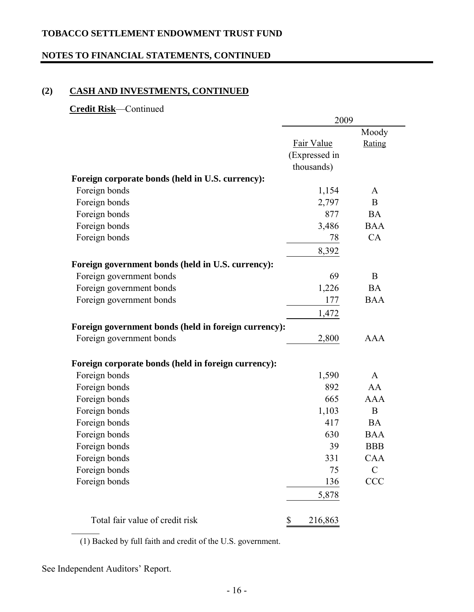# **NOTES TO FINANCIAL STATEMENTS, CONTINUED**

# **(2) CASH AND INVESTMENTS, CONTINUED**

**Credit Risk**—Continued

|                                                      | 2009          |               |  |
|------------------------------------------------------|---------------|---------------|--|
|                                                      |               | Moody         |  |
|                                                      | Fair Value    | Rating        |  |
|                                                      | (Expressed in |               |  |
|                                                      | thousands)    |               |  |
| Foreign corporate bonds (held in U.S. currency):     |               |               |  |
| Foreign bonds                                        | 1,154         | A             |  |
| Foreign bonds                                        | 2,797         | B             |  |
| Foreign bonds                                        | 877           | <b>BA</b>     |  |
| Foreign bonds                                        | 3,486         | <b>BAA</b>    |  |
| Foreign bonds                                        | 78            | CA            |  |
|                                                      | 8,392         |               |  |
| Foreign government bonds (held in U.S. currency):    |               |               |  |
| Foreign government bonds                             | 69            | B             |  |
| Foreign government bonds                             | 1,226         | <b>BA</b>     |  |
| Foreign government bonds                             | 177           | <b>BAA</b>    |  |
|                                                      | 1,472         |               |  |
| Foreign government bonds (held in foreign currency): |               |               |  |
| Foreign government bonds                             | 2,800         | <b>AAA</b>    |  |
|                                                      |               |               |  |
| Foreign corporate bonds (held in foreign currency):  |               |               |  |
| Foreign bonds                                        | 1,590         | A             |  |
| Foreign bonds                                        | 892           | AA            |  |
| Foreign bonds                                        | 665           | <b>AAA</b>    |  |
| Foreign bonds                                        | 1,103         | $\mathbf{B}$  |  |
| Foreign bonds                                        | 417           | <b>BA</b>     |  |
| Foreign bonds                                        | 630           | <b>BAA</b>    |  |
| Foreign bonds                                        | 39            | <b>BBB</b>    |  |
| Foreign bonds                                        | 331           | <b>CAA</b>    |  |
| Foreign bonds                                        | 75            | $\mathcal{C}$ |  |
| Foreign bonds                                        | 136           | CCC           |  |
|                                                      | 5,878         |               |  |
| Total fair value of credit risk                      | \$<br>216,863 |               |  |

(1) Backed by full faith and credit of the U.S. government.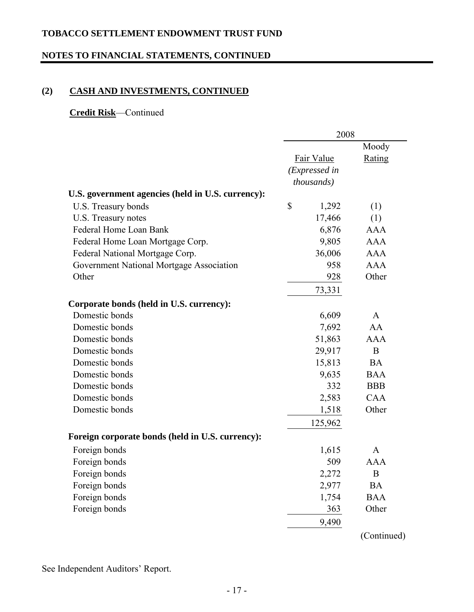# **NOTES TO FINANCIAL STATEMENTS, CONTINUED**

# **(2) CASH AND INVESTMENTS, CONTINUED**

# **Credit Risk**—Continued

|                                                   | 2008 |               |              |
|---------------------------------------------------|------|---------------|--------------|
|                                                   |      |               | Moody        |
|                                                   |      | Fair Value    | Rating       |
|                                                   |      | (Expressed in |              |
|                                                   |      | thousands)    |              |
| U.S. government agencies (held in U.S. currency): |      |               |              |
| U.S. Treasury bonds                               | \$   | 1,292         | (1)          |
| U.S. Treasury notes                               |      | 17,466        | (1)          |
| Federal Home Loan Bank                            |      | 6,876         | <b>AAA</b>   |
| Federal Home Loan Mortgage Corp.                  |      | 9,805         | <b>AAA</b>   |
| Federal National Mortgage Corp.                   |      | 36,006        | <b>AAA</b>   |
| Government National Mortgage Association          |      | 958           | <b>AAA</b>   |
| Other                                             |      | 928           | Other        |
|                                                   |      | 73,331        |              |
| Corporate bonds (held in U.S. currency):          |      |               |              |
| Domestic bonds                                    |      | 6,609         | $\mathbf{A}$ |
| Domestic bonds                                    |      | 7,692         | AA           |
| Domestic bonds                                    |      | 51,863        | <b>AAA</b>   |
| Domestic bonds                                    |      | 29,917        | B            |
| Domestic bonds                                    |      | 15,813        | <b>BA</b>    |
| Domestic bonds                                    |      | 9,635         | <b>BAA</b>   |
| Domestic bonds                                    |      | 332           | <b>BBB</b>   |
| Domestic bonds                                    |      | 2,583         | <b>CAA</b>   |
| Domestic bonds                                    |      | 1,518         | Other        |
|                                                   |      | 125,962       |              |
| Foreign corporate bonds (held in U.S. currency):  |      |               |              |
| Foreign bonds                                     |      | 1,615         | A            |
| Foreign bonds                                     |      | 509           | <b>AAA</b>   |
| Foreign bonds                                     |      | 2,272         | B            |
| Foreign bonds                                     |      | 2,977         | <b>BA</b>    |
| Foreign bonds                                     |      | 1,754         | <b>BAA</b>   |
| Foreign bonds                                     |      | 363           | Other        |
|                                                   |      | 9,490         |              |
|                                                   |      |               |              |

(Continued)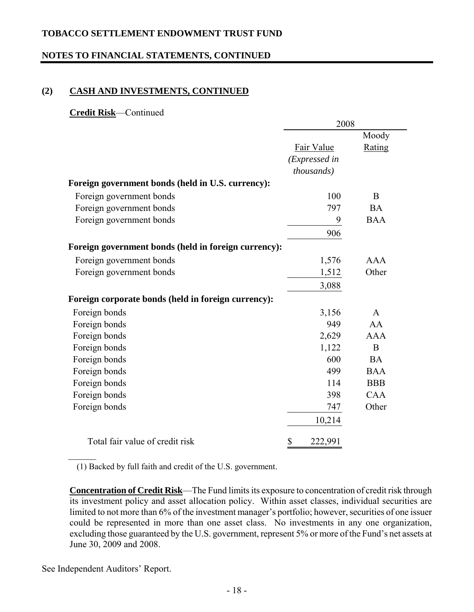# **NOTES TO FINANCIAL STATEMENTS, CONTINUED**

# **(2) CASH AND INVESTMENTS, CONTINUED**

#### **Credit Risk**—Continued

|                                                      | 2008          |            |  |
|------------------------------------------------------|---------------|------------|--|
|                                                      |               | Moody      |  |
|                                                      | Fair Value    | Rating     |  |
|                                                      | (Expressed in |            |  |
|                                                      | thousands)    |            |  |
| Foreign government bonds (held in U.S. currency):    |               |            |  |
| Foreign government bonds                             | 100           | B          |  |
| Foreign government bonds                             | 797           | <b>BA</b>  |  |
| Foreign government bonds                             | 9             | <b>BAA</b> |  |
|                                                      | 906           |            |  |
| Foreign government bonds (held in foreign currency): |               |            |  |
| Foreign government bonds                             | 1,576         | <b>AAA</b> |  |
| Foreign government bonds                             | 1,512         | Other      |  |
|                                                      | 3,088         |            |  |
| Foreign corporate bonds (held in foreign currency):  |               |            |  |
| Foreign bonds                                        | 3,156         | A          |  |
| Foreign bonds                                        | 949           | AA         |  |
| Foreign bonds                                        | 2,629         | <b>AAA</b> |  |
| Foreign bonds                                        | 1,122         | B          |  |
| Foreign bonds                                        | 600           | <b>BA</b>  |  |
| Foreign bonds                                        | 499           | <b>BAA</b> |  |
| Foreign bonds                                        | 114           | <b>BBB</b> |  |
| Foreign bonds                                        | 398           | CAA        |  |
| Foreign bonds                                        | 747           | Other      |  |
|                                                      | 10,214        |            |  |
| Total fair value of credit risk                      | \$<br>222,991 |            |  |

(1) Backed by full faith and credit of the U.S. government.

**Concentration of Credit Risk**—The Fund limits its exposure to concentration of credit risk through its investment policy and asset allocation policy. Within asset classes, individual securities are limited to not more than 6% of the investment manager's portfolio; however, securities of one issuer could be represented in more than one asset class. No investments in any one organization, excluding those guaranteed by the U.S. government, represent 5% or more of the Fund's net assets at June 30, 2009 and 2008.

See Independent Auditors' Report.

 $\mathcal{L}$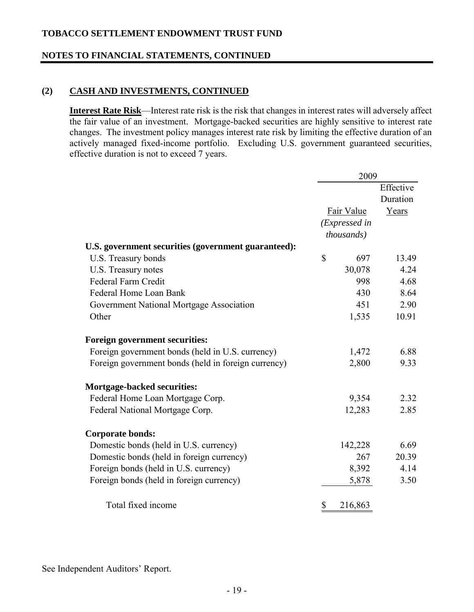#### **NOTES TO FINANCIAL STATEMENTS, CONTINUED**

# **(2) CASH AND INVESTMENTS, CONTINUED**

**Interest Rate Risk**—Interest rate risk is the risk that changes in interest rates will adversely affect the fair value of an investment. Mortgage-backed securities are highly sensitive to interest rate changes. The investment policy manages interest rate risk by limiting the effective duration of an actively managed fixed-income portfolio. Excluding U.S. government guaranteed securities, effective duration is not to exceed 7 years.

|                                                     | 2009 |                    |           |
|-----------------------------------------------------|------|--------------------|-----------|
|                                                     |      |                    | Effective |
|                                                     |      |                    | Duration  |
|                                                     |      | Fair Value         | Years     |
|                                                     |      | (Expressed in      |           |
|                                                     |      | <i>thousands</i> ) |           |
| U.S. government securities (government guaranteed): |      |                    |           |
| U.S. Treasury bonds                                 | \$   | 697                | 13.49     |
| U.S. Treasury notes                                 |      | 30,078             | 4.24      |
| Federal Farm Credit                                 |      | 998                | 4.68      |
| Federal Home Loan Bank                              |      | 430                | 8.64      |
| Government National Mortgage Association            |      | 451                | 2.90      |
| Other                                               |      | 1,535              | 10.91     |
| <b>Foreign government securities:</b>               |      |                    |           |
| Foreign government bonds (held in U.S. currency)    |      | 1,472              | 6.88      |
| Foreign government bonds (held in foreign currency) |      | 2,800              | 9.33      |
| <b>Mortgage-backed securities:</b>                  |      |                    |           |
| Federal Home Loan Mortgage Corp.                    |      | 9,354              | 2.32      |
| Federal National Mortgage Corp.                     |      | 12,283             | 2.85      |
| <b>Corporate bonds:</b>                             |      |                    |           |
| Domestic bonds (held in U.S. currency)              |      | 142,228            | 6.69      |
| Domestic bonds (held in foreign currency)           |      | 267                | 20.39     |
| Foreign bonds (held in U.S. currency)               |      | 8,392              | 4.14      |
| Foreign bonds (held in foreign currency)            |      | 5,878              | 3.50      |
| Total fixed income                                  | \$   | 216,863            |           |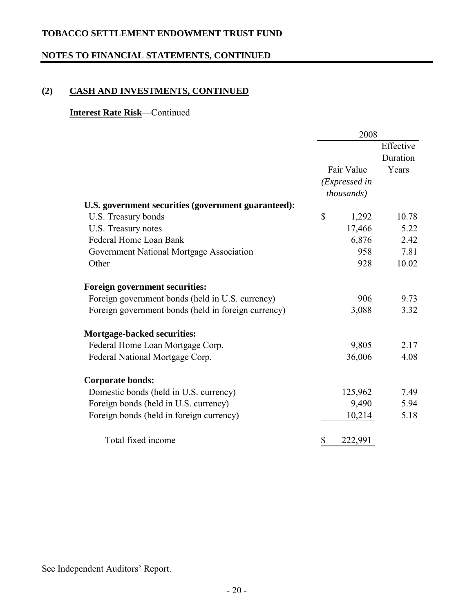### **NOTES TO FINANCIAL STATEMENTS, CONTINUED**

# **(2) CASH AND INVESTMENTS, CONTINUED**

# **Interest Rate Risk**—Continued

|                                                     | 2008 |                   |           |
|-----------------------------------------------------|------|-------------------|-----------|
|                                                     |      |                   | Effective |
|                                                     |      |                   | Duration  |
|                                                     |      | <b>Fair Value</b> | Years     |
|                                                     |      | (Expressed in     |           |
|                                                     |      | thousands)        |           |
| U.S. government securities (government guaranteed): |      |                   |           |
| U.S. Treasury bonds                                 | \$   | 1,292             | 10.78     |
| U.S. Treasury notes                                 |      | 17,466            | 5.22      |
| Federal Home Loan Bank                              |      | 6,876             | 2.42      |
| Government National Mortgage Association            |      | 958               | 7.81      |
| Other                                               |      | 928               | 10.02     |
| Foreign government securities:                      |      |                   |           |
| Foreign government bonds (held in U.S. currency)    |      | 906               | 9.73      |
| Foreign government bonds (held in foreign currency) |      | 3,088             | 3.32      |
| <b>Mortgage-backed securities:</b>                  |      |                   |           |
| Federal Home Loan Mortgage Corp.                    |      | 9,805             | 2.17      |
| Federal National Mortgage Corp.                     |      | 36,006            | 4.08      |
| <b>Corporate bonds:</b>                             |      |                   |           |
| Domestic bonds (held in U.S. currency)              |      | 125,962           | 7.49      |
| Foreign bonds (held in U.S. currency)               |      | 9,490             | 5.94      |
| Foreign bonds (held in foreign currency)            |      | 10,214            | 5.18      |
| Total fixed income                                  | \$   | 222,991           |           |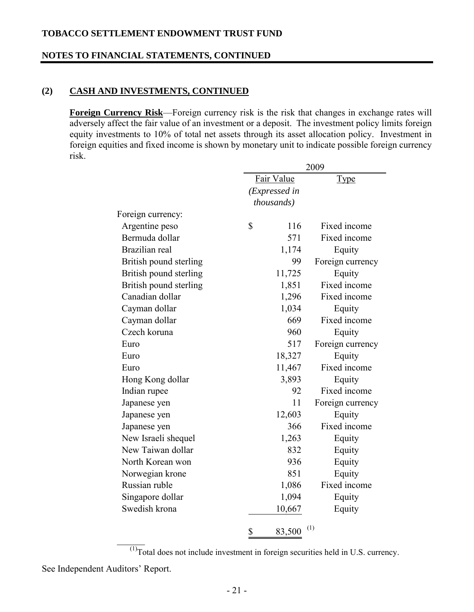### **NOTES TO FINANCIAL STATEMENTS, CONTINUED**

# **(2) CASH AND INVESTMENTS, CONTINUED**

**Foreign Currency Risk**—Foreign currency risk is the risk that changes in exchange rates will adversely affect the fair value of an investment or a deposit. The investment policy limits foreign equity investments to 10% of total net assets through its asset allocation policy. Investment in foreign equities and fixed income is shown by monetary unit to indicate possible foreign currency risk.

|                        |              | 2009          |                  |  |  |
|------------------------|--------------|---------------|------------------|--|--|
|                        |              | Fair Value    | <b>Type</b>      |  |  |
|                        |              | (Expressed in |                  |  |  |
|                        |              | thousands)    |                  |  |  |
| Foreign currency:      |              |               |                  |  |  |
| Argentine peso         | $\mathbb{S}$ | 116           | Fixed income     |  |  |
| Bermuda dollar         |              | 571           | Fixed income     |  |  |
| Brazilian real         |              | 1,174         | Equity           |  |  |
| British pound sterling |              | 99            | Foreign currency |  |  |
| British pound sterling |              | 11,725        | Equity           |  |  |
| British pound sterling |              | 1,851         | Fixed income     |  |  |
| Canadian dollar        |              | 1,296         | Fixed income     |  |  |
| Cayman dollar          |              | 1,034         | Equity           |  |  |
| Cayman dollar          |              | 669           | Fixed income     |  |  |
| Czech koruna           |              | 960           | Equity           |  |  |
| Euro                   |              | 517           | Foreign currency |  |  |
| Euro                   |              | 18,327        | Equity           |  |  |
| Euro                   |              | 11,467        | Fixed income     |  |  |
| Hong Kong dollar       |              | 3,893         | Equity           |  |  |
| Indian rupee           |              | 92            | Fixed income     |  |  |
| Japanese yen           |              | 11            | Foreign currency |  |  |
| Japanese yen           |              | 12,603        | Equity           |  |  |
| Japanese yen           |              | 366           | Fixed income     |  |  |
| New Israeli shequel    |              | 1,263         | Equity           |  |  |
| New Taiwan dollar      |              | 832           | Equity           |  |  |
| North Korean won       |              | 936           | Equity           |  |  |
| Norwegian krone        |              | 851           | Equity           |  |  |
| Russian ruble          |              | 1,086         | Fixed income     |  |  |
| Singapore dollar       |              | 1,094         | Equity           |  |  |
| Swedish krona          |              | 10,667        | Equity           |  |  |
|                        | \$           | 83,500        | (1)              |  |  |

 $\overline{^{(1)}}$ Total does not include investment in foreign securities held in U.S. currency.

See Independent Auditors' Report.

 $\mathcal{L}$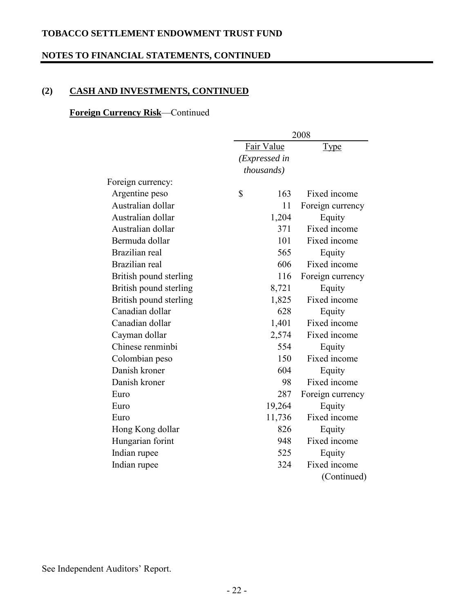# **NOTES TO FINANCIAL STATEMENTS, CONTINUED**

# **(2) CASH AND INVESTMENTS, CONTINUED**

# **Foreign Currency Risk**—Continued

|                        | 2008 |                    |                  |
|------------------------|------|--------------------|------------------|
|                        |      | Fair Value         | <b>Type</b>      |
|                        |      | (Expressed in      |                  |
|                        |      | <i>thousands</i> ) |                  |
| Foreign currency:      |      |                    |                  |
| Argentine peso         | \$   | 163                | Fixed income     |
| Australian dollar      |      | 11                 | Foreign currency |
| Australian dollar      |      | 1,204              | Equity           |
| Australian dollar      |      | 371                | Fixed income     |
| Bermuda dollar         |      | 101                | Fixed income     |
| Brazilian real         |      | 565                | Equity           |
| Brazilian real         |      | 606                | Fixed income     |
| British pound sterling |      | 116                | Foreign currency |
| British pound sterling |      | 8,721              | Equity           |
| British pound sterling |      | 1,825              | Fixed income     |
| Canadian dollar        |      | 628                | Equity           |
| Canadian dollar        |      | 1,401              | Fixed income     |
| Cayman dollar          |      | 2,574              | Fixed income     |
| Chinese renminbi       |      | 554                | Equity           |
| Colombian peso         |      | 150                | Fixed income     |
| Danish kroner          |      | 604                | Equity           |
| Danish kroner          |      | 98                 | Fixed income     |
| Euro                   |      | 287                | Foreign currency |
| Euro                   |      | 19,264             | Equity           |
| Euro                   |      | 11,736             | Fixed income     |
| Hong Kong dollar       |      | 826                | Equity           |
| Hungarian forint       |      | 948                | Fixed income     |
| Indian rupee           |      | 525                | Equity           |
| Indian rupee           |      | 324                | Fixed income     |
|                        |      |                    | (Continued)      |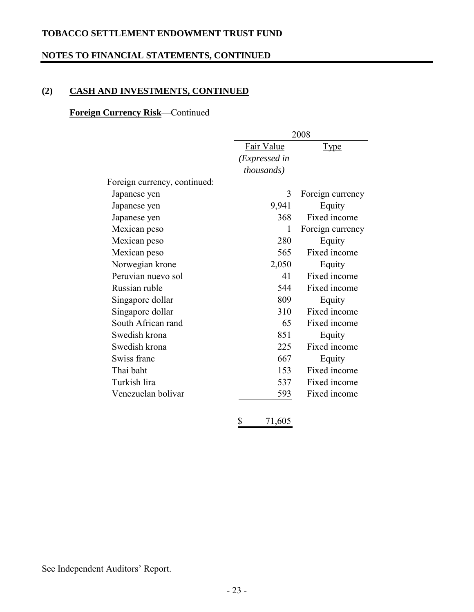# **NOTES TO FINANCIAL STATEMENTS, CONTINUED**

# **(2) CASH AND INVESTMENTS, CONTINUED**

# **Foreign Currency Risk**—Continued

|                              | 2008          |                  |  |  |
|------------------------------|---------------|------------------|--|--|
|                              | Fair Value    | <u>Type</u>      |  |  |
|                              | (Expressed in |                  |  |  |
|                              | thousands)    |                  |  |  |
| Foreign currency, continued: |               |                  |  |  |
| Japanese yen                 | 3             | Foreign currency |  |  |
| Japanese yen                 | 9,941         | Equity           |  |  |
| Japanese yen                 | 368           | Fixed income     |  |  |
| Mexican peso                 | 1             | Foreign currency |  |  |
| Mexican peso                 | 280           | Equity           |  |  |
| Mexican peso                 | 565           | Fixed income     |  |  |
| Norwegian krone              | 2,050         | Equity           |  |  |
| Peruvian nuevo sol           | 41            | Fixed income     |  |  |
| Russian ruble                | 544           | Fixed income     |  |  |
| Singapore dollar             | 809           | Equity           |  |  |
| Singapore dollar             | 310           | Fixed income     |  |  |
| South African rand           | 65            | Fixed income     |  |  |
| Swedish krona                | 851           | Equity           |  |  |
| Swedish krona                | 225           | Fixed income     |  |  |
| Swiss franc                  | 667           | Equity           |  |  |
| Thai baht                    | 153           | Fixed income     |  |  |
| Turkish lira                 | 537           | Fixed income     |  |  |
| Venezuelan bolivar           | 593           | Fixed income     |  |  |
|                              | \$<br>71,605  |                  |  |  |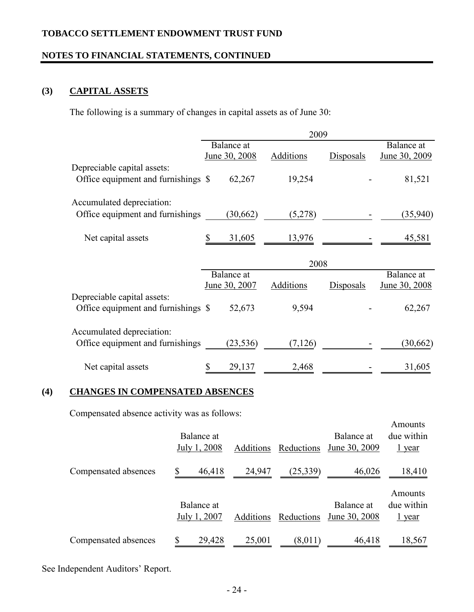### **NOTES TO FINANCIAL STATEMENTS, CONTINUED**

# **(3) CAPITAL ASSETS**

The following is a summary of changes in capital assets as of June 30:

|                                     | 2009 |               |                  |                  |               |
|-------------------------------------|------|---------------|------------------|------------------|---------------|
|                                     |      | Balance at    |                  |                  | Balance at    |
|                                     |      | June 30, 2008 | <b>Additions</b> | <b>Disposals</b> | June 30, 2009 |
| Depreciable capital assets:         |      |               |                  |                  |               |
| Office equipment and furnishings \$ |      | 62,267        | 19,254           |                  | 81,521        |
| Accumulated depreciation:           |      |               |                  |                  |               |
| Office equipment and furnishings    |      | (30,662)      | (5,278)          |                  | (35,940)      |
| Net capital assets                  | \$   | 31,605        | 13,976           |                  | 45,581        |
|                                     |      |               | 2008             |                  |               |
|                                     |      | Balance at    |                  |                  | Balance at    |
|                                     |      | June 30, 2007 | Additions        | Disposals        | June 30, 2008 |
| Depreciable capital assets:         |      |               |                  |                  |               |
| Office equipment and furnishings \$ |      | 52,673        | 9,594            |                  | 62,267        |
| Accumulated depreciation:           |      |               |                  |                  |               |
| Office equipment and furnishings    |      | (23, 536)     | (7,126)          |                  | (30,662)      |
| Net capital assets                  |      | 29,137        | 2,468            |                  | 31,605        |

#### **(4) CHANGES IN COMPENSATED ABSENCES**

Compensated absence activity was as follows:

|                      | Balance at<br>July 1, 2008 | <b>Additions</b> | Reductions | Balance at<br>June 30, 2009 | Amounts<br>due within<br>1 year        |
|----------------------|----------------------------|------------------|------------|-----------------------------|----------------------------------------|
| Compensated absences | \$<br>46,418               | 24,947           | (25, 339)  | 46,026                      | 18,410                                 |
|                      | Balance at<br>July 1, 2007 | <b>Additions</b> | Reductions | Balance at<br>June 30, 2008 | Amounts<br>due within<br><u>l year</u> |
| Compensated absences | \$<br>29,428               | 25,001           | (8,011)    | 46,418                      | 18,567                                 |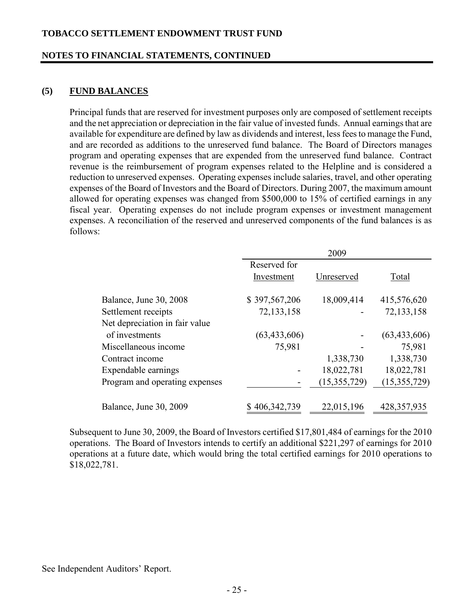#### **NOTES TO FINANCIAL STATEMENTS, CONTINUED**

#### **(5) FUND BALANCES**

Principal funds that are reserved for investment purposes only are composed of settlement receipts and the net appreciation or depreciation in the fair value of invested funds. Annual earnings that are available for expenditure are defined by law as dividends and interest, less fees to manage the Fund, and are recorded as additions to the unreserved fund balance. The Board of Directors manages program and operating expenses that are expended from the unreserved fund balance. Contract revenue is the reimbursement of program expenses related to the Helpline and is considered a reduction to unreserved expenses. Operating expenses include salaries, travel, and other operating expenses of the Board of Investors and the Board of Directors. During 2007, the maximum amount allowed for operating expenses was changed from \$500,000 to 15% of certified earnings in any fiscal year. Operating expenses do not include program expenses or investment management expenses. A reconciliation of the reserved and unreserved components of the fund balances is as follows:

|                                | 2009           |                |                |
|--------------------------------|----------------|----------------|----------------|
|                                | Reserved for   |                |                |
|                                | Investment     | Unreserved     | Total          |
| Balance, June 30, 2008         | \$397,567,206  | 18,009,414     | 415,576,620    |
| Settlement receipts            | 72,133,158     |                | 72,133,158     |
| Net depreciation in fair value |                |                |                |
| of investments                 | (63, 433, 606) |                | (63, 433, 606) |
| Miscellaneous income           | 75,981         |                | 75,981         |
| Contract income                |                | 1,338,730      | 1,338,730      |
| Expendable earnings            |                | 18,022,781     | 18,022,781     |
| Program and operating expenses |                | (15, 355, 729) | (15, 355, 729) |
| Balance, June 30, 2009         | \$406,342,739  | 22,015,196     | 428, 357, 935  |

Subsequent to June 30, 2009, the Board of Investors certified \$17,801,484 of earnings for the 2010 operations. The Board of Investors intends to certify an additional \$221,297 of earnings for 2010 operations at a future date, which would bring the total certified earnings for 2010 operations to \$18,022,781.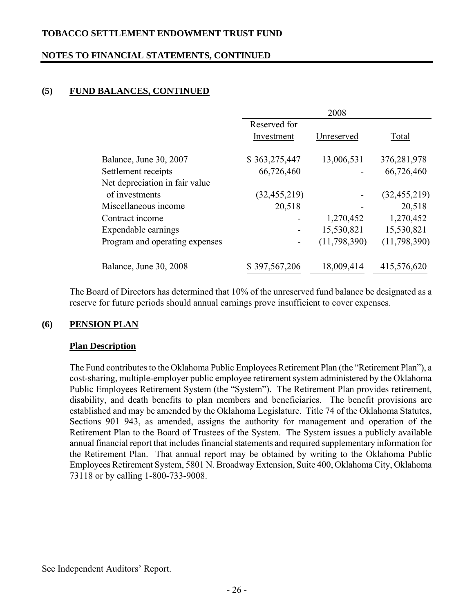# **NOTES TO FINANCIAL STATEMENTS, CONTINUED**

### **(5) FUND BALANCES, CONTINUED**

|                                |                | 2008           |                |
|--------------------------------|----------------|----------------|----------------|
|                                | Reserved for   |                |                |
|                                | Investment     | Unreserved     | Total          |
| Balance, June 30, 2007         | \$363,275,447  | 13,006,531     | 376,281,978    |
| Settlement receipts            | 66,726,460     |                | 66,726,460     |
| Net depreciation in fair value |                |                |                |
| of investments                 | (32, 455, 219) |                | (32, 455, 219) |
| Miscellaneous income           | 20,518         |                | 20,518         |
| Contract income                |                | 1,270,452      | 1,270,452      |
| Expendable earnings            |                | 15,530,821     | 15,530,821     |
| Program and operating expenses |                | (11, 798, 390) | (11, 798, 390) |
|                                |                |                |                |
| Balance, June 30, 2008         | \$397,567,206  | 18,009,414     | 415,576,620    |
|                                |                |                |                |

The Board of Directors has determined that 10% of the unreserved fund balance be designated as a reserve for future periods should annual earnings prove insufficient to cover expenses.

### **(6) PENSION PLAN**

#### **Plan Description**

The Fund contributes to the Oklahoma Public Employees Retirement Plan (the "Retirement Plan"), a cost-sharing, multiple-employer public employee retirement system administered by the Oklahoma Public Employees Retirement System (the "System"). The Retirement Plan provides retirement, disability, and death benefits to plan members and beneficiaries. The benefit provisions are established and may be amended by the Oklahoma Legislature. Title 74 of the Oklahoma Statutes, Sections 901–943, as amended, assigns the authority for management and operation of the Retirement Plan to the Board of Trustees of the System. The System issues a publicly available annual financial report that includes financial statements and required supplementary information for the Retirement Plan. That annual report may be obtained by writing to the Oklahoma Public Employees Retirement System, 5801 N. Broadway Extension, Suite 400, Oklahoma City, Oklahoma 73118 or by calling 1-800-733-9008.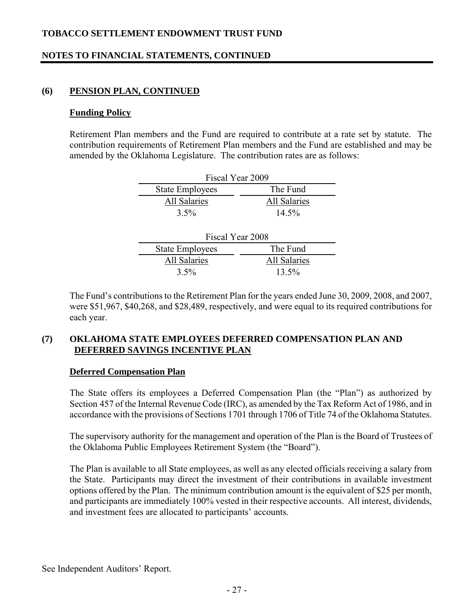# **NOTES TO FINANCIAL STATEMENTS, CONTINUED**

#### **(6) PENSION PLAN, CONTINUED**

#### **Funding Policy**

Retirement Plan members and the Fund are required to contribute at a rate set by statute. The contribution requirements of Retirement Plan members and the Fund are established and may be amended by the Oklahoma Legislature. The contribution rates are as follows:

| Fiscal Year 2009       |              |  |  |  |
|------------------------|--------------|--|--|--|
| <b>State Employees</b> | The Fund     |  |  |  |
| All Salaries           | All Salaries |  |  |  |
| $3.5\%$                | 14.5%        |  |  |  |
|                        |              |  |  |  |
| Fiscal Year 2008       |              |  |  |  |
| <b>State Employees</b> | The Fund     |  |  |  |
| All Salaries           | All Salaries |  |  |  |
| $3.5\%$                | 13.5%        |  |  |  |

The Fund's contributions to the Retirement Plan for the years ended June 30, 2009, 2008, and 2007, were \$51,967, \$40,268, and \$28,489, respectively, and were equal to its required contributions for each year.

### **(7) OKLAHOMA STATE EMPLOYEES DEFERRED COMPENSATION PLAN AND DEFERRED SAVINGS INCENTIVE PLAN**

#### **Deferred Compensation Plan**

The State offers its employees a Deferred Compensation Plan (the "Plan") as authorized by Section 457 of the Internal Revenue Code (IRC), as amended by the Tax Reform Act of 1986, and in accordance with the provisions of Sections 1701 through 1706 of Title 74 of the Oklahoma Statutes.

The supervisory authority for the management and operation of the Plan is the Board of Trustees of the Oklahoma Public Employees Retirement System (the "Board").

The Plan is available to all State employees, as well as any elected officials receiving a salary from the State. Participants may direct the investment of their contributions in available investment options offered by the Plan. The minimum contribution amount is the equivalent of \$25 per month, and participants are immediately 100% vested in their respective accounts. All interest, dividends, and investment fees are allocated to participants' accounts.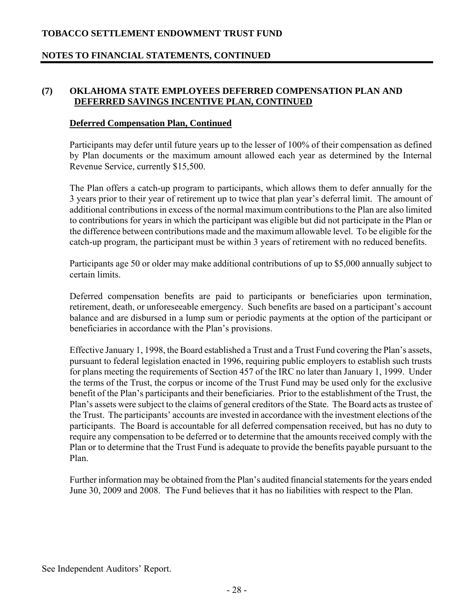# **NOTES TO FINANCIAL STATEMENTS, CONTINUED**

### **(7) OKLAHOMA STATE EMPLOYEES DEFERRED COMPENSATION PLAN AND DEFERRED SAVINGS INCENTIVE PLAN, CONTINUED**

#### **Deferred Compensation Plan, Continued**

Participants may defer until future years up to the lesser of 100% of their compensation as defined by Plan documents or the maximum amount allowed each year as determined by the Internal Revenue Service, currently \$15,500.

The Plan offers a catch-up program to participants, which allows them to defer annually for the 3 years prior to their year of retirement up to twice that plan year's deferral limit. The amount of additional contributions in excess of the normal maximum contributions to the Plan are also limited to contributions for years in which the participant was eligible but did not participate in the Plan or the difference between contributions made and the maximum allowable level. To be eligible for the catch-up program, the participant must be within 3 years of retirement with no reduced benefits.

Participants age 50 or older may make additional contributions of up to \$5,000 annually subject to certain limits.

Deferred compensation benefits are paid to participants or beneficiaries upon termination, retirement, death, or unforeseeable emergency. Such benefits are based on a participant's account balance and are disbursed in a lump sum or periodic payments at the option of the participant or beneficiaries in accordance with the Plan's provisions.

Effective January 1, 1998, the Board established a Trust and a Trust Fund covering the Plan's assets, pursuant to federal legislation enacted in 1996, requiring public employers to establish such trusts for plans meeting the requirements of Section 457 of the IRC no later than January 1, 1999. Under the terms of the Trust, the corpus or income of the Trust Fund may be used only for the exclusive benefit of the Plan's participants and their beneficiaries. Prior to the establishment of the Trust, the Plan's assets were subject to the claims of general creditors of the State. The Board acts as trustee of the Trust. The participants' accounts are invested in accordance with the investment elections of the participants. The Board is accountable for all deferred compensation received, but has no duty to require any compensation to be deferred or to determine that the amounts received comply with the Plan or to determine that the Trust Fund is adequate to provide the benefits payable pursuant to the Plan.

Further information may be obtained from the Plan's audited financial statements for the years ended June 30, 2009 and 2008. The Fund believes that it has no liabilities with respect to the Plan.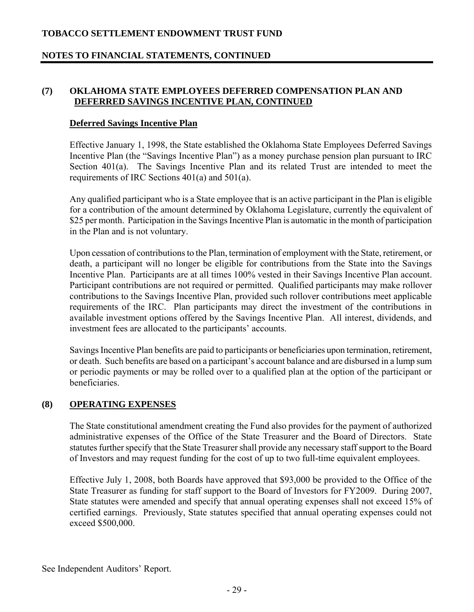# **NOTES TO FINANCIAL STATEMENTS, CONTINUED**

### **(7) OKLAHOMA STATE EMPLOYEES DEFERRED COMPENSATION PLAN AND DEFERRED SAVINGS INCENTIVE PLAN, CONTINUED**

#### **Deferred Savings Incentive Plan**

Effective January 1, 1998, the State established the Oklahoma State Employees Deferred Savings Incentive Plan (the "Savings Incentive Plan") as a money purchase pension plan pursuant to IRC Section 401(a). The Savings Incentive Plan and its related Trust are intended to meet the requirements of IRC Sections 401(a) and 501(a).

Any qualified participant who is a State employee that is an active participant in the Plan is eligible for a contribution of the amount determined by Oklahoma Legislature, currently the equivalent of \$25 per month. Participation in the Savings Incentive Plan is automatic in the month of participation in the Plan and is not voluntary.

Upon cessation of contributions to the Plan, termination of employment with the State, retirement, or death, a participant will no longer be eligible for contributions from the State into the Savings Incentive Plan. Participants are at all times 100% vested in their Savings Incentive Plan account. Participant contributions are not required or permitted. Qualified participants may make rollover contributions to the Savings Incentive Plan, provided such rollover contributions meet applicable requirements of the IRC. Plan participants may direct the investment of the contributions in available investment options offered by the Savings Incentive Plan. All interest, dividends, and investment fees are allocated to the participants' accounts.

Savings Incentive Plan benefits are paid to participants or beneficiaries upon termination, retirement, or death. Such benefits are based on a participant's account balance and are disbursed in a lump sum or periodic payments or may be rolled over to a qualified plan at the option of the participant or beneficiaries.

### **(8) OPERATING EXPENSES**

The State constitutional amendment creating the Fund also provides for the payment of authorized administrative expenses of the Office of the State Treasurer and the Board of Directors. State statutes further specify that the State Treasurer shall provide any necessary staff support to the Board of Investors and may request funding for the cost of up to two full-time equivalent employees.

Effective July 1, 2008, both Boards have approved that \$93,000 be provided to the Office of the State Treasurer as funding for staff support to the Board of Investors for FY2009. During 2007, State statutes were amended and specify that annual operating expenses shall not exceed 15% of certified earnings. Previously, State statutes specified that annual operating expenses could not exceed \$500,000.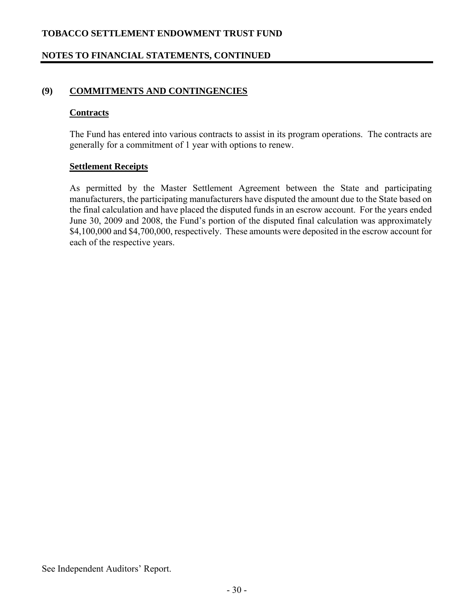# **NOTES TO FINANCIAL STATEMENTS, CONTINUED**

### **(9) COMMITMENTS AND CONTINGENCIES**

#### **Contracts**

The Fund has entered into various contracts to assist in its program operations. The contracts are generally for a commitment of 1 year with options to renew.

#### **Settlement Receipts**

As permitted by the Master Settlement Agreement between the State and participating manufacturers, the participating manufacturers have disputed the amount due to the State based on the final calculation and have placed the disputed funds in an escrow account. For the years ended June 30, 2009 and 2008, the Fund's portion of the disputed final calculation was approximately \$4,100,000 and \$4,700,000, respectively. These amounts were deposited in the escrow account for each of the respective years.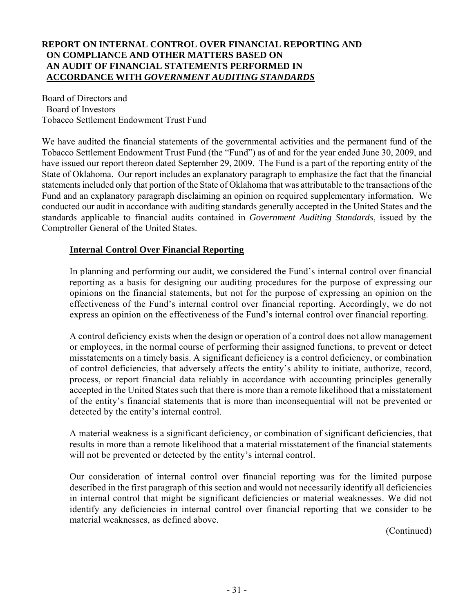#### **REPORT ON INTERNAL CONTROL OVER FINANCIAL REPORTING AND ON COMPLIANCE AND OTHER MATTERS BASED ON AN AUDIT OF FINANCIAL STATEMENTS PERFORMED IN ACCORDANCE WITH** *GOVERNMENT AUDITING STANDARDS*

Board of Directors and Board of Investors Tobacco Settlement Endowment Trust Fund

We have audited the financial statements of the governmental activities and the permanent fund of the Tobacco Settlement Endowment Trust Fund (the "Fund") as of and for the year ended June 30, 2009, and have issued our report thereon dated September 29, 2009. The Fund is a part of the reporting entity of the State of Oklahoma. Our report includes an explanatory paragraph to emphasize the fact that the financial statements included only that portion of the State of Oklahoma that was attributable to the transactions of the Fund and an explanatory paragraph disclaiming an opinion on required supplementary information. We conducted our audit in accordance with auditing standards generally accepted in the United States and the standards applicable to financial audits contained in *Government Auditing Standards*, issued by the Comptroller General of the United States.

### **Internal Control Over Financial Reporting**

In planning and performing our audit, we considered the Fund's internal control over financial reporting as a basis for designing our auditing procedures for the purpose of expressing our opinions on the financial statements, but not for the purpose of expressing an opinion on the effectiveness of the Fund's internal control over financial reporting. Accordingly, we do not express an opinion on the effectiveness of the Fund's internal control over financial reporting.

A control deficiency exists when the design or operation of a control does not allow management or employees, in the normal course of performing their assigned functions, to prevent or detect misstatements on a timely basis. A significant deficiency is a control deficiency, or combination of control deficiencies, that adversely affects the entity's ability to initiate, authorize, record, process, or report financial data reliably in accordance with accounting principles generally accepted in the United States such that there is more than a remote likelihood that a misstatement of the entity's financial statements that is more than inconsequential will not be prevented or detected by the entity's internal control.

A material weakness is a significant deficiency, or combination of significant deficiencies, that results in more than a remote likelihood that a material misstatement of the financial statements will not be prevented or detected by the entity's internal control.

Our consideration of internal control over financial reporting was for the limited purpose described in the first paragraph of this section and would not necessarily identify all deficiencies in internal control that might be significant deficiencies or material weaknesses. We did not identify any deficiencies in internal control over financial reporting that we consider to be material weaknesses, as defined above.

(Continued)